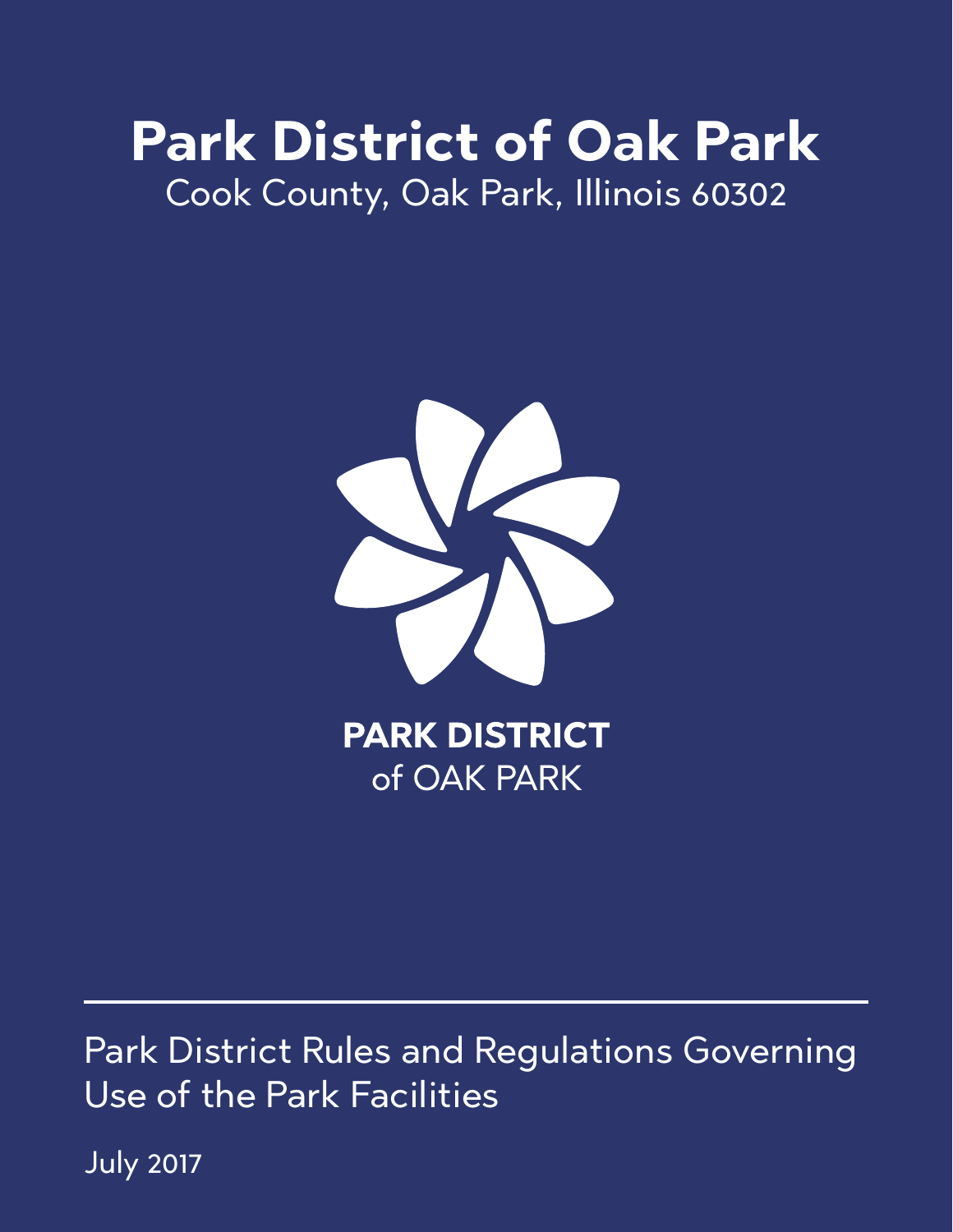# **Park District of Oak Park** Cook County, Oak Park, Illinois 60302



Park District Rules and Regulations Governing Use of the Park Facilities

July 2017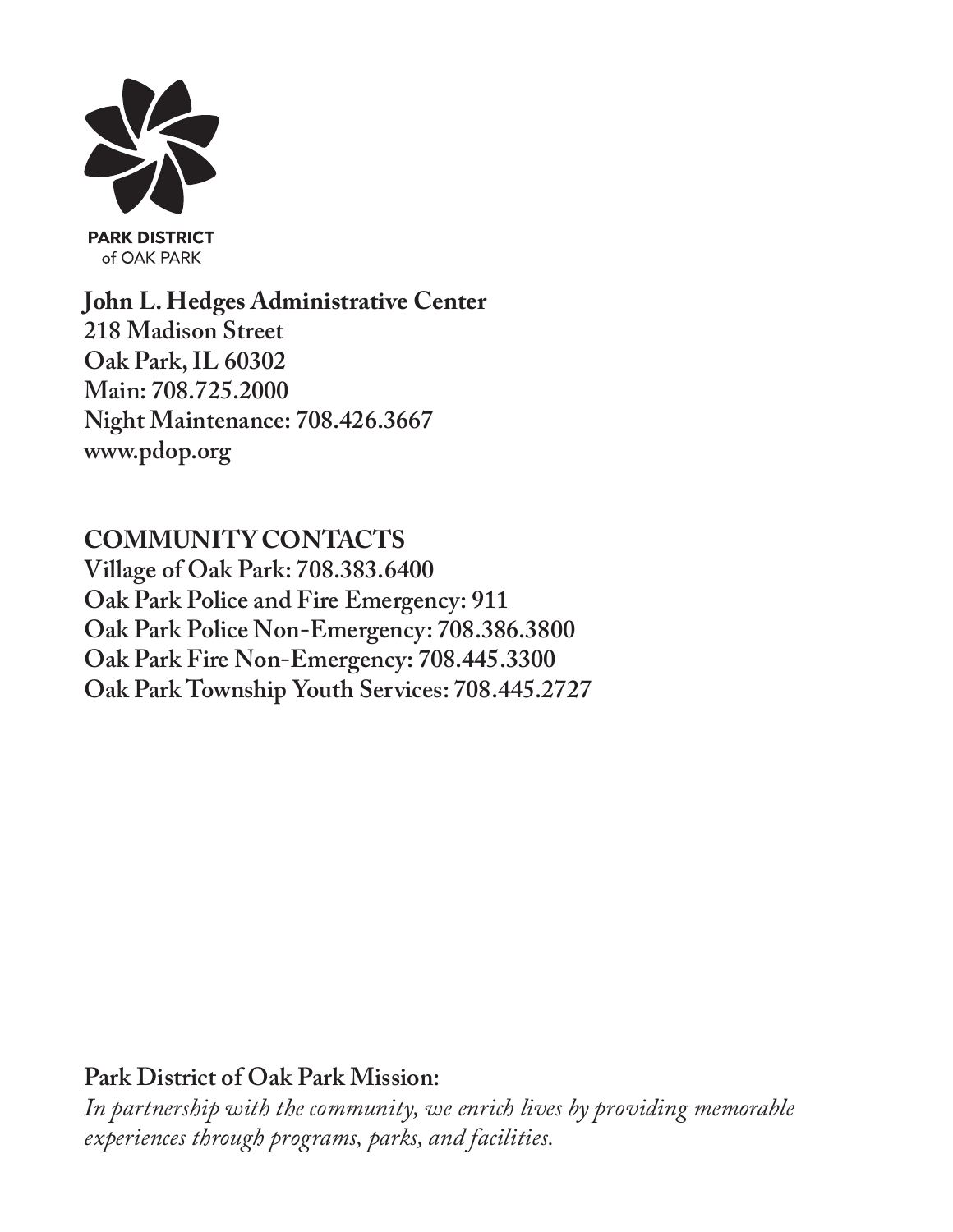

**PARK DISTRICT** of OAK PARK

**John L. Hedges Administrative Center 218 Madison Street Oak Park, IL 60302 Main: 708.725.2000 Night Maintenance: 708.426.3667 www.pdop.org**

**COMMUNITY CONTACTS Village of Oak Park: 708.383.6400 Oak Park Police and Fire Emergency: 911 Oak Park Police Non-Emergency: 708.386.3800 Oak Park Fire Non-Emergency: 708.445.3300 Oak Park Township Youth Services: 708.445.2727**

**Park District of Oak Park Mission:**

*In partnership with the community, we enrich lives by providing memorable experiences through programs, parks, and facilities.*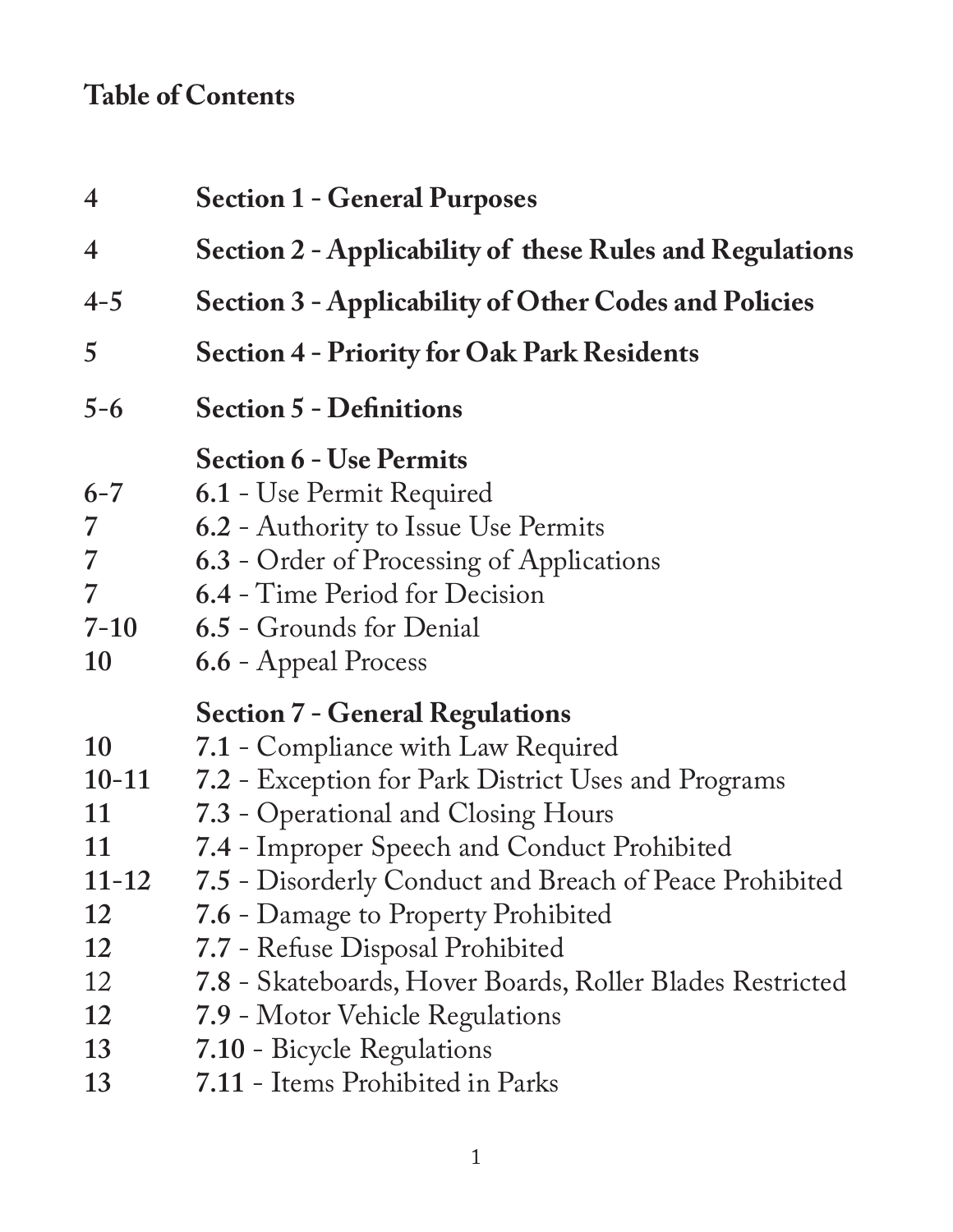# **Table of Contents**

| $\overline{4}$                                  | <b>Section 1 - General Purposes</b>                                                                                                                                                                            |
|-------------------------------------------------|----------------------------------------------------------------------------------------------------------------------------------------------------------------------------------------------------------------|
| $\overline{4}$                                  | Section 2 - Applicability of these Rules and Regulations                                                                                                                                                       |
| $4 - 5$                                         | Section 3 - Applicability of Other Codes and Policies                                                                                                                                                          |
| 5                                               | <b>Section 4 - Priority for Oak Park Residents</b>                                                                                                                                                             |
| $5 - 6$                                         | <b>Section 5 - Definitions</b>                                                                                                                                                                                 |
| $6 - 7$<br>7<br>$\overline{7}$<br>7<br>$7 - 10$ | <b>Section 6 - Use Permits</b><br>6.1 - Use Permit Required<br>6.2 - Authority to Issue Use Permits<br>6.3 - Order of Processing of Applications<br>6.4 - Time Period for Decision<br>6.5 - Grounds for Denial |
| 10                                              | 6.6 - Appeal Process                                                                                                                                                                                           |
|                                                 | <b>Section 7 - General Regulations</b>                                                                                                                                                                         |
| 10                                              | 7.1 - Compliance with Law Required                                                                                                                                                                             |
| $10 - 11$                                       | 7.2 - Exception for Park District Uses and Programs                                                                                                                                                            |
| 11                                              | 7.3 - Operational and Closing Hours                                                                                                                                                                            |
| 11                                              | 7.4 - Improper Speech and Conduct Prohibited                                                                                                                                                                   |
| $11 - 12$<br>12                                 | 7.5 - Disorderly Conduct and Breach of Peace Prohibited                                                                                                                                                        |
| 12                                              | 7.6 - Damage to Property Prohibited<br>7.7 - Refuse Disposal Prohibited                                                                                                                                        |
| 12                                              | 7.8 - Skateboards, Hover Boards, Roller Blades Restricted                                                                                                                                                      |
| 12                                              | 7.9 - Motor Vehicle Regulations                                                                                                                                                                                |
| 13                                              | 7.10 - Bicycle Regulations                                                                                                                                                                                     |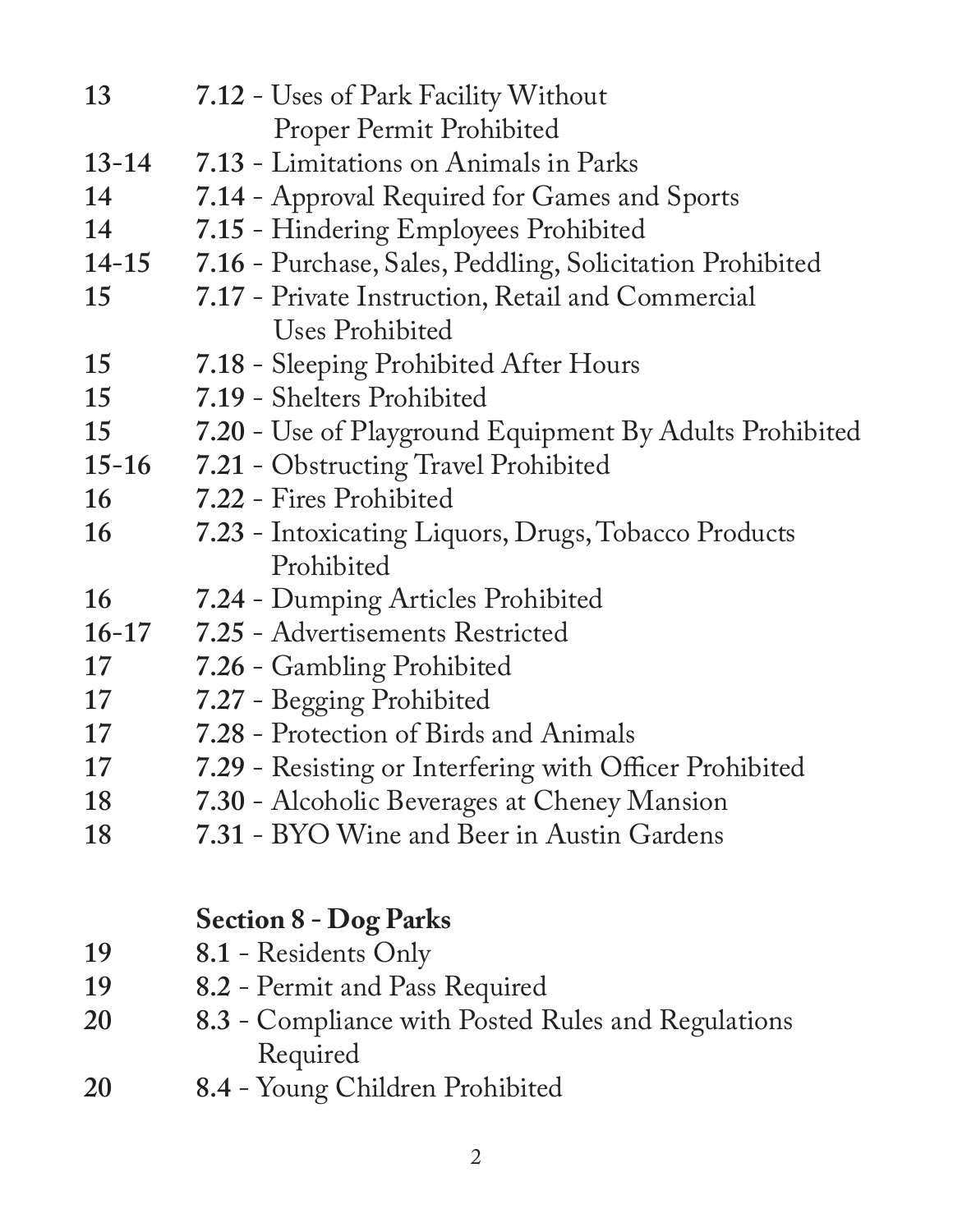| 13        | 7.12 - Uses of Park Facility Without                      |
|-----------|-----------------------------------------------------------|
|           | Proper Permit Prohibited                                  |
| $13 - 14$ | 7.13 - Limitations on Animals in Parks                    |
| 14        | 7.14 - Approval Required for Games and Sports             |
| 14        | 7.15 - Hindering Employees Prohibited                     |
| 14-15     | 7.16 - Purchase, Sales, Peddling, Solicitation Prohibited |
| 15        | 7.17 - Private Instruction, Retail and Commercial         |
|           | Uses Prohibited                                           |
| 15        | 7.18 - Sleeping Prohibited After Hours                    |
| 15        | 7.19 - Shelters Prohibited                                |
| 15        | 7.20 - Use of Playground Equipment By Adults Prohibited   |
| $15-16$   | 7.21 - Obstructing Travel Prohibited                      |
| 16        | 7.22 - Fires Prohibited                                   |
| 16        | 7.23 - Intoxicating Liquors, Drugs, Tobacco Products      |
|           | Prohibited                                                |
| 16        | 7.24 - Dumping Articles Prohibited                        |
| $16 - 17$ | 7.25 - Advertisements Restricted                          |
| 17        | 7.26 - Gambling Prohibited                                |
| 17        | 7.27 - Begging Prohibited                                 |
| 17        | 7.28 - Protection of Birds and Animals                    |
| 17        | 7.29 - Resisting or Interfering with Officer Prohibited   |
| 18        | 7.30 - Alcoholic Beverages at Cheney Mansion              |
| 18        | 7.31 - BYO Wine and Beer in Austin Gardens                |
|           |                                                           |
|           | <b>Section 8 - Dog Parks</b>                              |
| 19        | 8.1 - Residents Only                                      |
| 19        | 8.2 - Permit and Pass Required                            |
| 20        | 8.3 - Compliance with Posted Rules and Regulations        |
|           | Required                                                  |
| 20        | 8.4 - Young Children Prohibited                           |
|           |                                                           |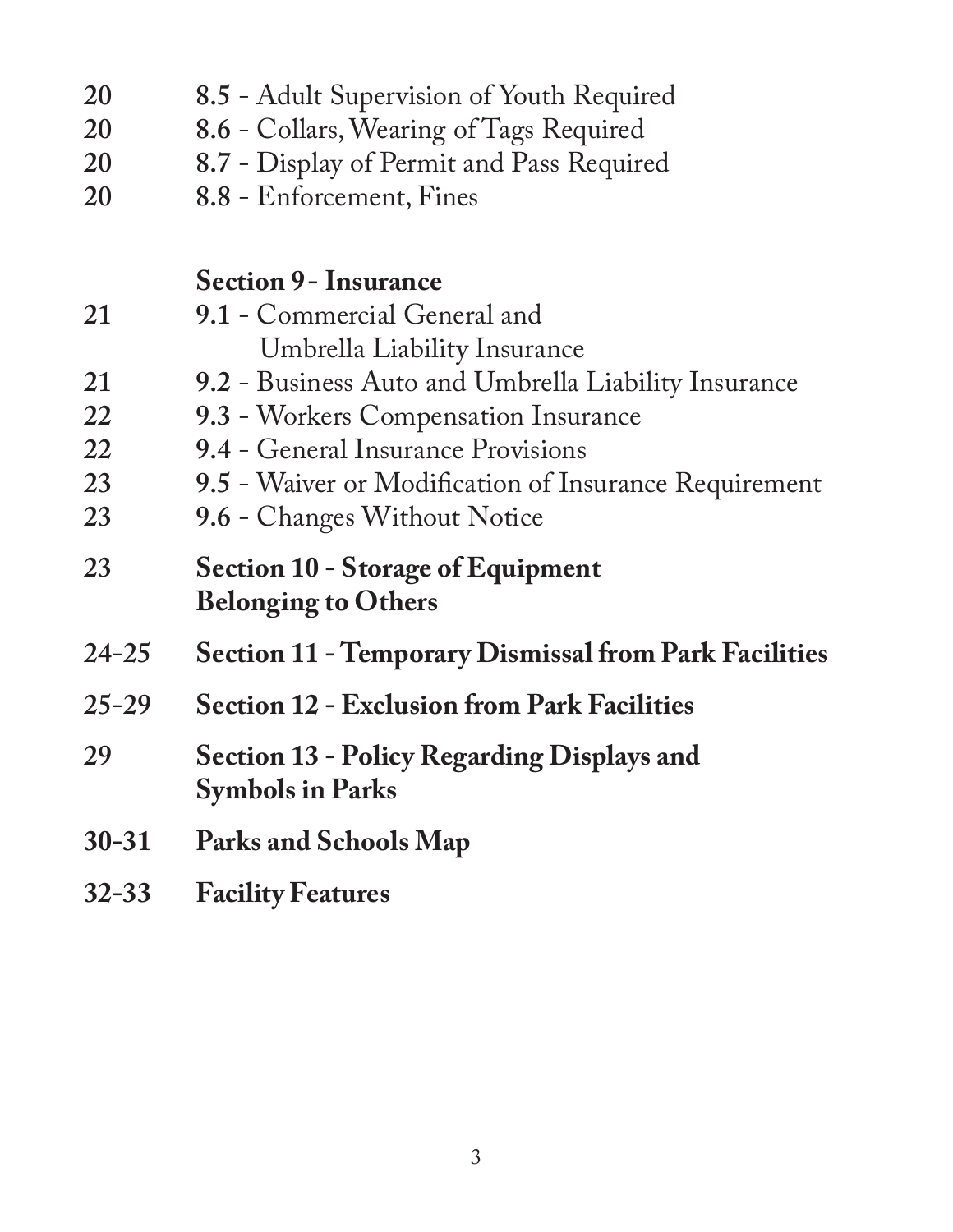| 20        | 8.5 - Adult Supervision of Youth Required                    |
|-----------|--------------------------------------------------------------|
| 20        | 8.6 - Collars, Wearing of Tags Required                      |
| 20        | 8.7 - Display of Permit and Pass Required                    |
| 20        | 8.8 - Enforcement, Fines                                     |
|           |                                                              |
|           | <b>Section 9 - Insurance</b>                                 |
| 21        | 9.1 - Commercial General and                                 |
|           | Umbrella Liability Insurance                                 |
| 21        | 9.2 - Business Auto and Umbrella Liability Insurance         |
| 22        | 9.3 - Workers Compensation Insurance                         |
| 22        | 9.4 - General Insurance Provisions                           |
| 23        | 9.5 - Waiver or Modification of Insurance Requirement        |
| 23        | 9.6 - Changes Without Notice                                 |
| 23        | <b>Section 10 - Storage of Equipment</b>                     |
|           | <b>Belonging to Others</b>                                   |
| $24 - 25$ | <b>Section 11 - Temporary Dismissal from Park Facilities</b> |
| $25 - 29$ | <b>Section 12 - Exclusion from Park Facilities</b>           |
| 29        | Section 13 - Policy Regarding Displays and                   |
|           | <b>Symbols in Parks</b>                                      |
| $30 - 31$ | Parks and Schools Map                                        |
| $32 - 33$ | <b>Facility Features</b>                                     |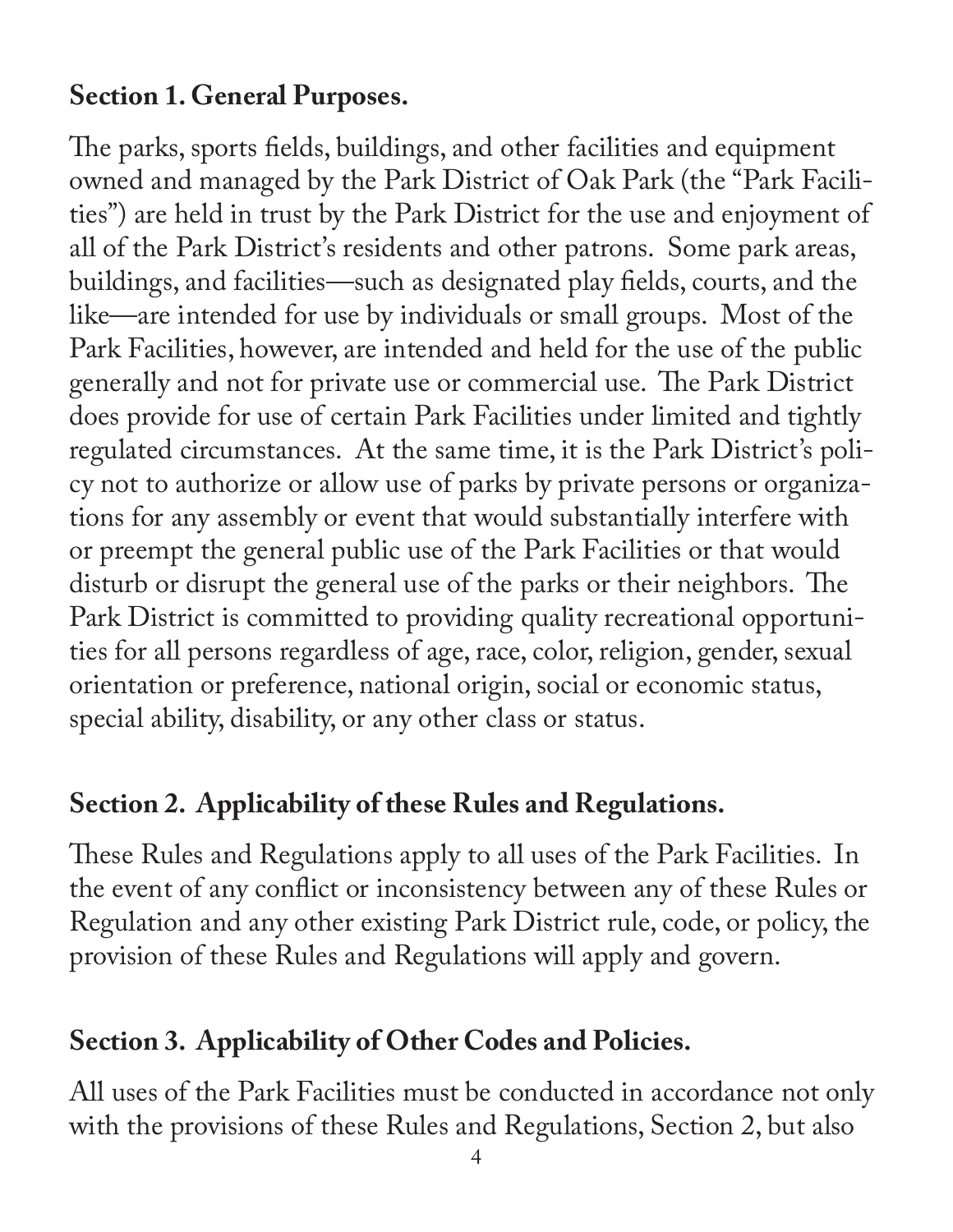## **Section 1. General Purposes.**

The parks, sports fields, buildings, and other facilities and equipment owned and managed by the Park District of Oak Park (the "Park Facilities") are held in trust by the Park District for the use and enjoyment of all of the Park District's residents and other patrons. Some park areas, buildings, and facilities—such as designated play fields, courts, and the like—are intended for use by individuals or small groups. Most of the Park Facilities, however, are intended and held for the use of the public generally and not for private use or commercial use. The Park District does provide for use of certain Park Facilities under limited and tightly regulated circumstances. At the same time, it is the Park District's policy not to authorize or allow use of parks by private persons or organizations for any assembly or event that would substantially interfere with or preempt the general public use of the Park Facilities or that would disturb or disrupt the general use of the parks or their neighbors. The Park District is committed to providing quality recreational opportunities for all persons regardless of age, race, color, religion, gender, sexual orientation or preference, national origin, social or economic status, special ability, disability, or any other class or status.

## **Section 2. Applicability of these Rules and Regulations.**

These Rules and Regulations apply to all uses of the Park Facilities. In the event of any conflict or inconsistency between any of these Rules or Regulation and any other existing Park District rule, code, or policy, the provision of these Rules and Regulations will apply and govern.

## **Section 3. Applicability of Other Codes and Policies.**

All uses of the Park Facilities must be conducted in accordance not only with the provisions of these Rules and Regulations, Section 2, but also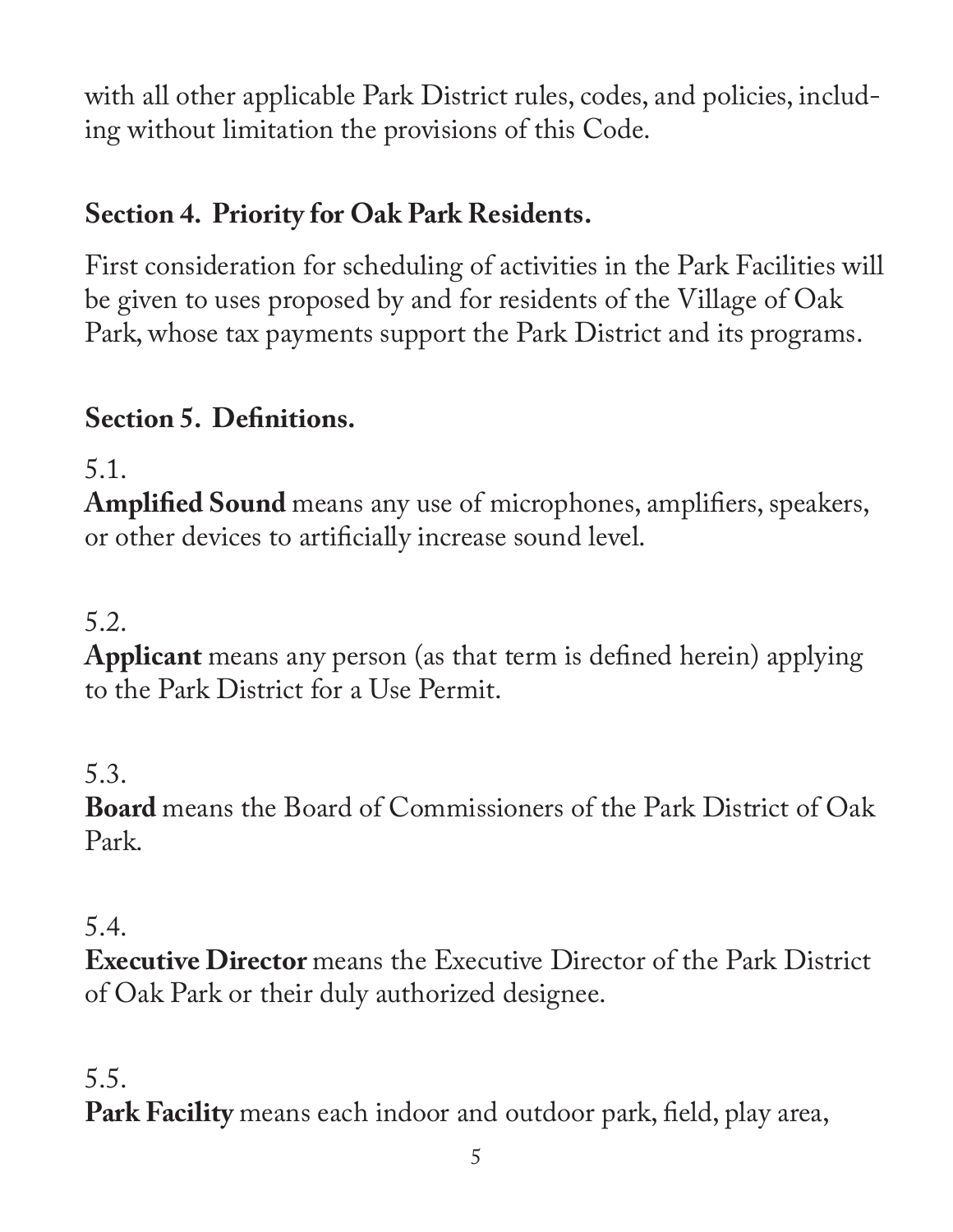with all other applicable Park District rules, codes, and policies, including without limitation the provisions of this Code.

# **Section 4. Priority for Oak Park Residents.**

First consideration for scheduling of activities in the Park Facilities will be given to uses proposed by and for residents of the Village of Oak Park, whose tax payments support the Park District and its programs.

# **Section 5. Definitions.**

5.1.

**Amplified Sound** means any use of microphones, amplifiers, speakers, or other devices to artificially increase sound level.

## 5.2.

**Applicant** means any person (as that term is defined herein) applying to the Park District for a Use Permit.

## 5.3.

**Board** means the Board of Commissioners of the Park District of Oak Park.

#### 5.4.

**Executive Director** means the Executive Director of the Park District of Oak Park or their duly authorized designee.

#### 5.5.

**Park Facility** means each indoor and outdoor park, field, play area,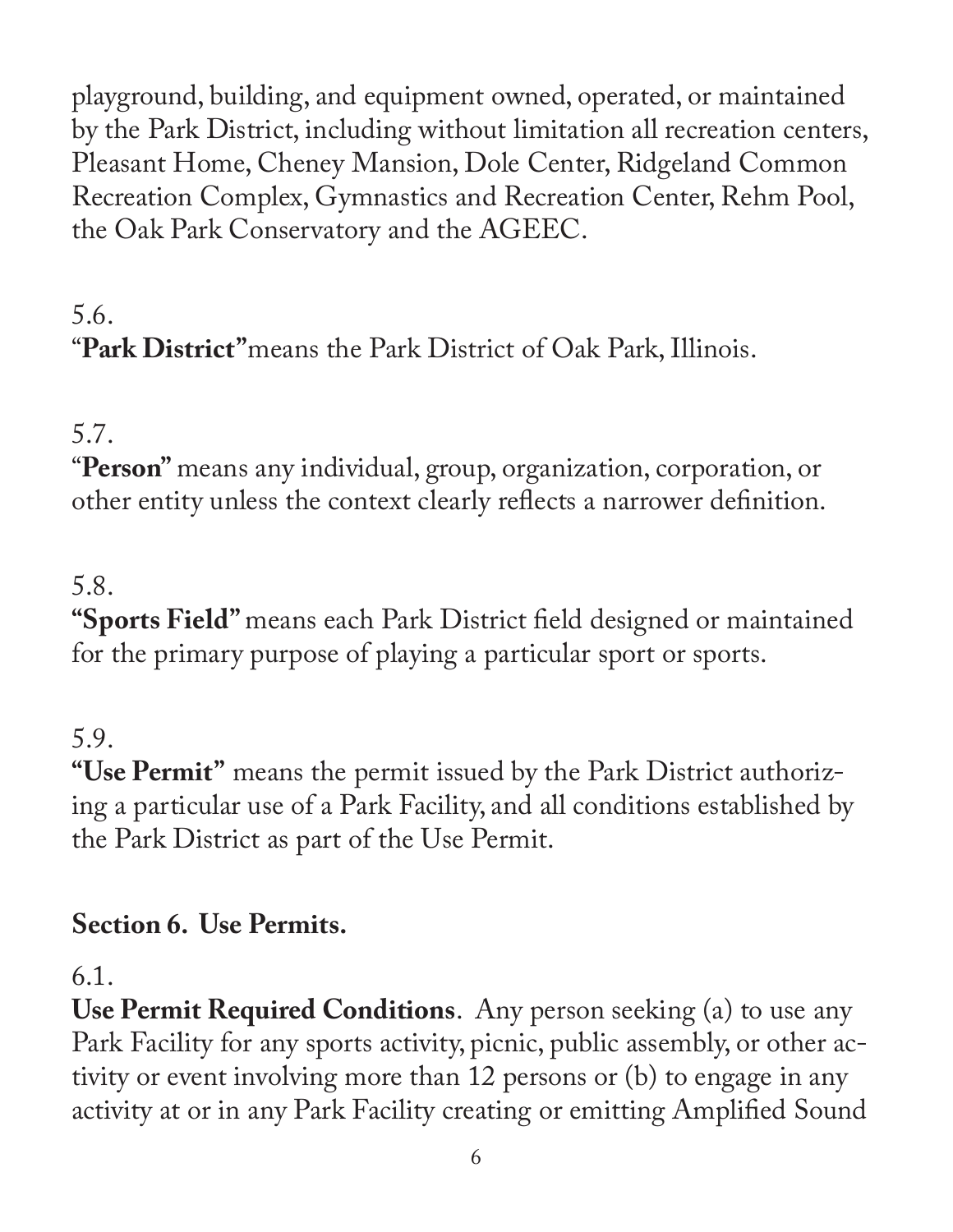playground, building, and equipment owned, operated, or maintained by the Park District, including without limitation all recreation centers, Pleasant Home, Cheney Mansion, Dole Center, Ridgeland Common Recreation Complex, Gymnastics and Recreation Center, Rehm Pool, the Oak Park Conservatory and the AGEEC.

# 5.6. "**Park District"**means the Park District of Oak Park, Illinois.

# 5.7.

"**Person"** means any individual, group, organization, corporation, or other entity unless the context clearly reflects a narrower definition.

# 5.8.

**"Sports Field"** means each Park District field designed or maintained for the primary purpose of playing a particular sport or sports.

# 5.9.

**"Use Permit"** means the permit issued by the Park District authorizing a particular use of a Park Facility, and all conditions established by the Park District as part of the Use Permit.

## **Section 6. Use Permits.**

6.1.

**Use Permit Required Conditions**. Any person seeking (a) to use any Park Facility for any sports activity, picnic, public assembly, or other activity or event involving more than 12 persons or (b) to engage in any activity at or in any Park Facility creating or emitting Amplified Sound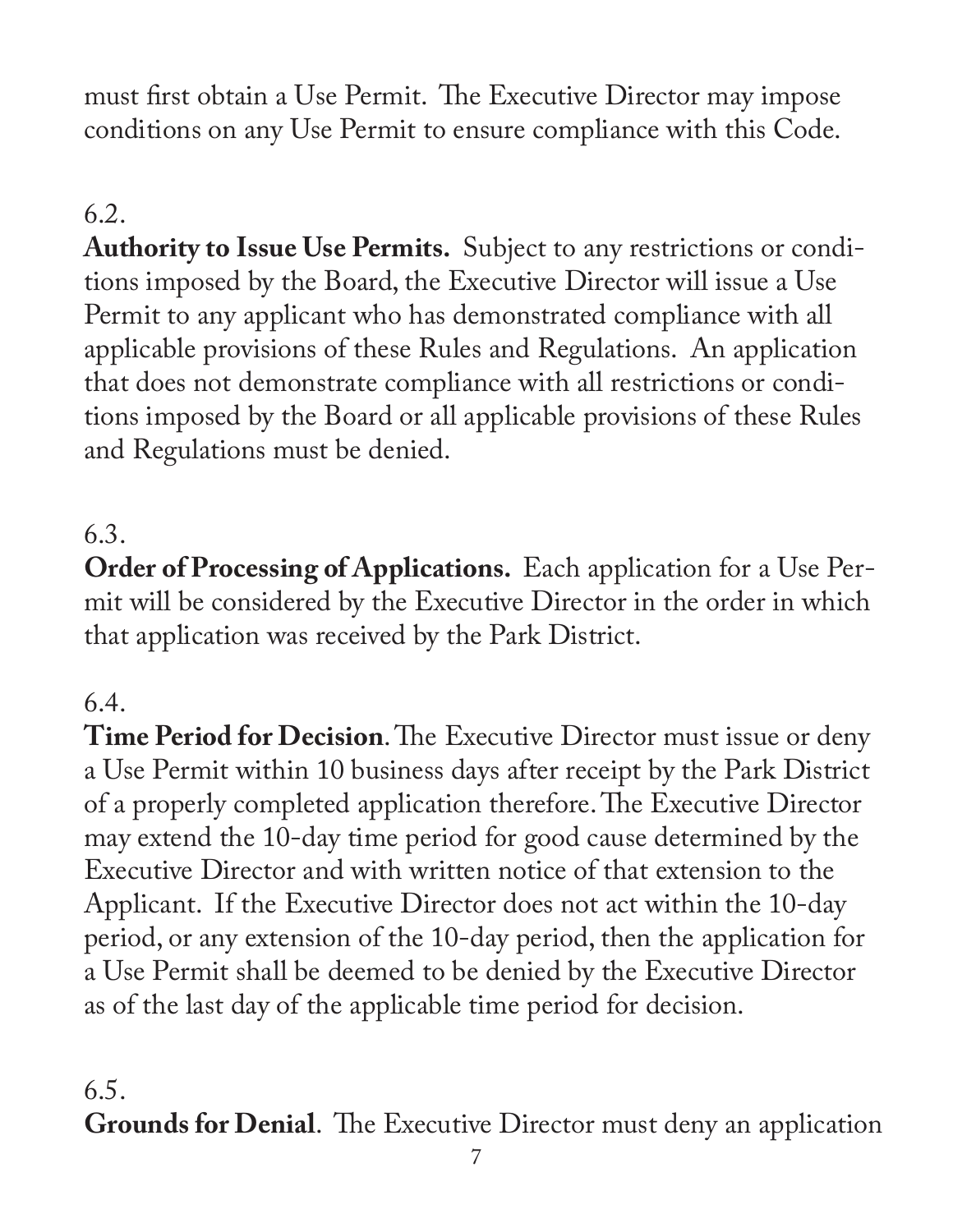must first obtain a Use Permit. The Executive Director may impose conditions on any Use Permit to ensure compliance with this Code.

## 6.2.

**Authority to Issue Use Permits.** Subject to any restrictions or conditions imposed by the Board, the Executive Director will issue a Use Permit to any applicant who has demonstrated compliance with all applicable provisions of these Rules and Regulations. An application that does not demonstrate compliance with all restrictions or conditions imposed by the Board or all applicable provisions of these Rules and Regulations must be denied.

#### 6.3.

**Order of Processing of Applications.** Each application for a Use Permit will be considered by the Executive Director in the order in which that application was received by the Park District.

## 6.4.

**Time Period for Decision**. The Executive Director must issue or deny a Use Permit within 10 business days after receipt by the Park District of a properly completed application therefore. The Executive Director may extend the 10-day time period for good cause determined by the Executive Director and with written notice of that extension to the Applicant. If the Executive Director does not act within the 10-day period, or any extension of the 10-day period, then the application for a Use Permit shall be deemed to be denied by the Executive Director as of the last day of the applicable time period for decision.

#### 6.5.

**Grounds for Denial**. The Executive Director must deny an application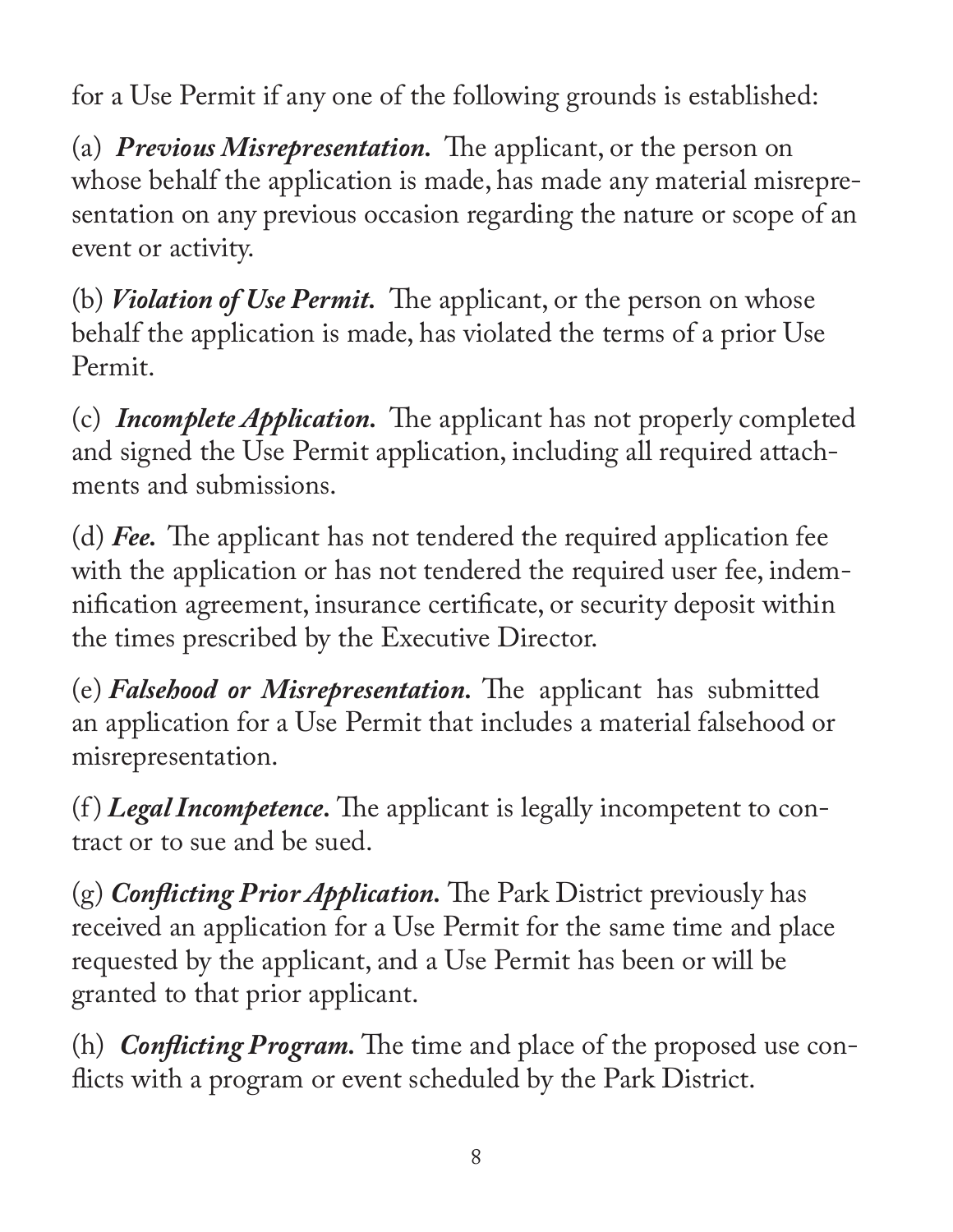for a Use Permit if any one of the following grounds is established:

(a) *Previous Misrepresentation.* The applicant, or the person on whose behalf the application is made, has made any material misrepresentation on any previous occasion regarding the nature or scope of an event or activity.

(b) *Violation of Use Permit.* The applicant, or the person on whose behalf the application is made, has violated the terms of a prior Use Permit.

(c) *Incomplete Application.* The applicant has not properly completed and signed the Use Permit application, including all required attachments and submissions.

(d) *Fee.* The applicant has not tendered the required application fee with the application or has not tendered the required user fee, indemnification agreement, insurance certificate, or security deposit within the times prescribed by the Executive Director.

(e) *Falsehood or Misrepresentation.* The applicant has submitted an application for a Use Permit that includes a material falsehood or misrepresentation.

(f ) *Legal Incompetence.* The applicant is legally incompetent to contract or to sue and be sued.

(g) *Conflicting Prior Application.* The Park District previously has received an application for a Use Permit for the same time and place requested by the applicant, and a Use Permit has been or will be granted to that prior applicant.

(h) *Conflicting Program.* The time and place of the proposed use conflicts with a program or event scheduled by the Park District.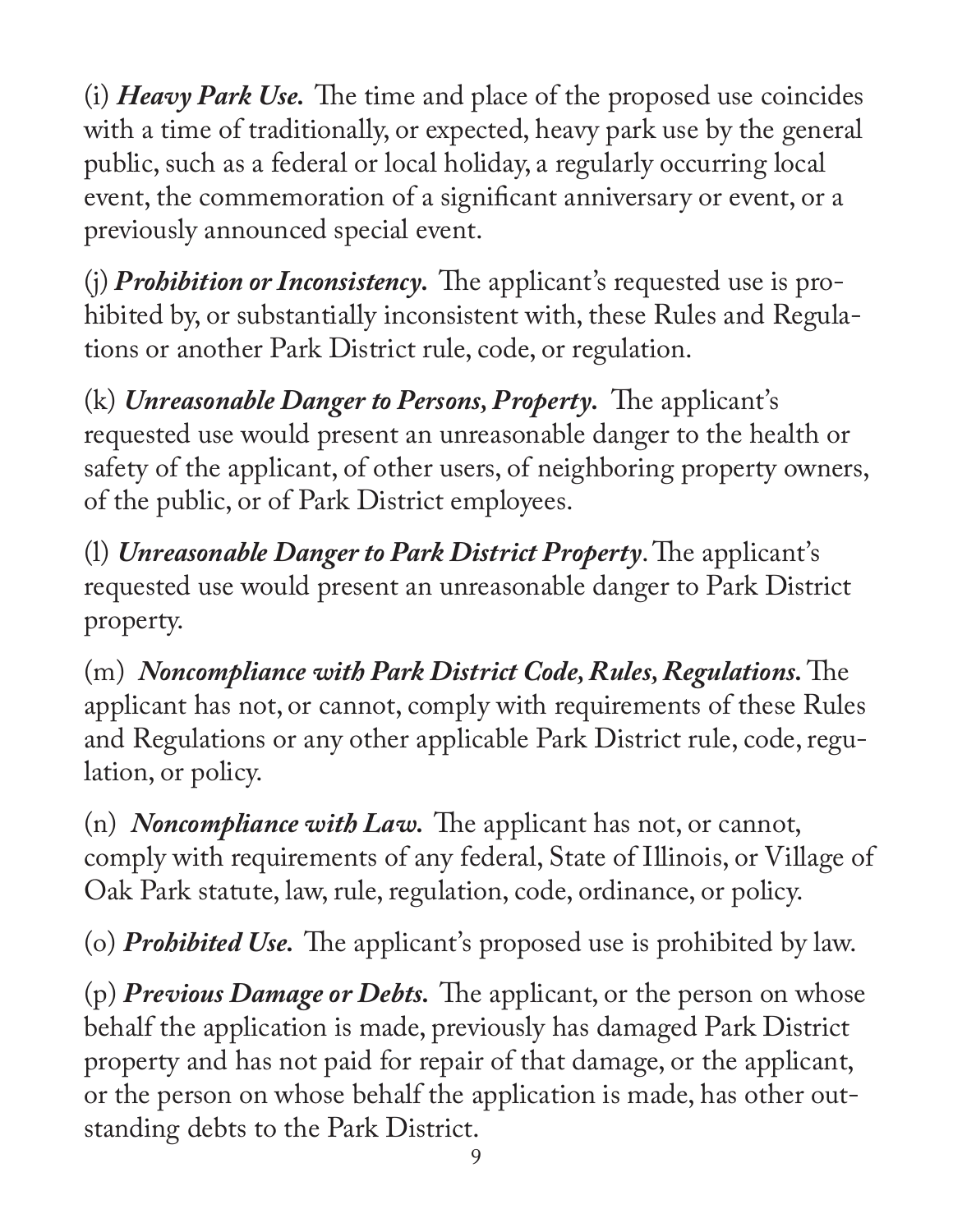(i) *Heavy Park Use.* The time and place of the proposed use coincides with a time of traditionally, or expected, heavy park use by the general public, such as a federal or local holiday, a regularly occurring local event, the commemoration of a significant anniversary or event, or a previously announced special event.

(j) *Prohibition or Inconsistency.* The applicant's requested use is prohibited by, or substantially inconsistent with, these Rules and Regulations or another Park District rule, code, or regulation.

(k) *Unreasonable Danger to Persons, Property.* The applicant's requested use would present an unreasonable danger to the health or safety of the applicant, of other users, of neighboring property owners, of the public, or of Park District employees.

(l) *Unreasonable Danger to Park District Property*. The applicant's requested use would present an unreasonable danger to Park District property.

(m) *Noncompliance with Park District Code, Rules, Regulations.* The applicant has not, or cannot, comply with requirements of these Rules and Regulations or any other applicable Park District rule, code, regulation, or policy.

(n) *Noncompliance with Law.* The applicant has not, or cannot, comply with requirements of any federal, State of Illinois, or Village of Oak Park statute, law, rule, regulation, code, ordinance, or policy.

(o) *Prohibited Use.* The applicant's proposed use is prohibited by law.

(p) *Previous Damage or Debts.* The applicant, or the person on whose behalf the application is made, previously has damaged Park District property and has not paid for repair of that damage, or the applicant, or the person on whose behalf the application is made, has other outstanding debts to the Park District.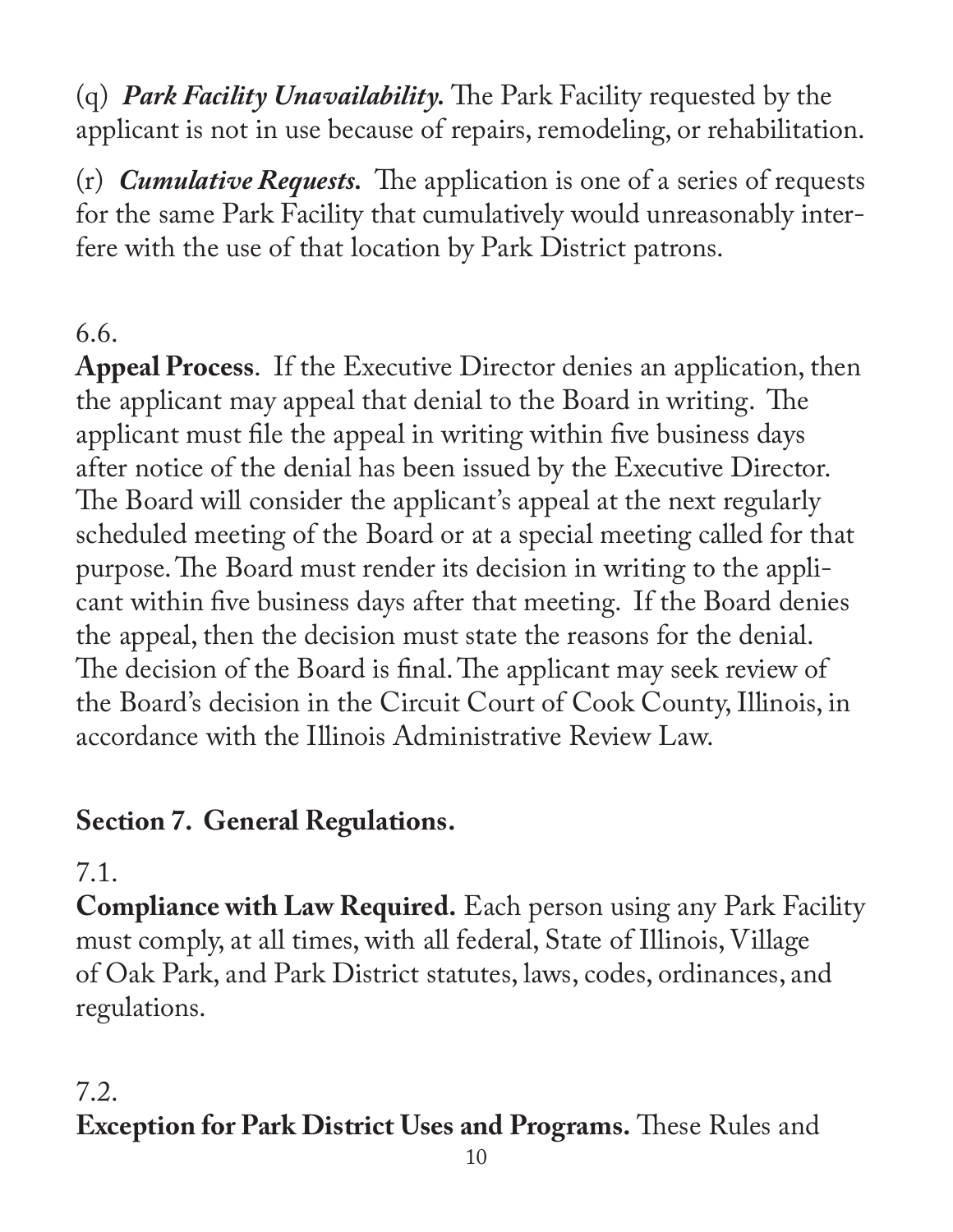(q) *Park Facility Unavailability.* The Park Facility requested by the applicant is not in use because of repairs, remodeling, or rehabilitation.

(r) *Cumulative Requests.* The application is one of a series of requests for the same Park Facility that cumulatively would unreasonably interfere with the use of that location by Park District patrons.

#### 6.6.

**Appeal Process**. If the Executive Director denies an application, then the applicant may appeal that denial to the Board in writing. The applicant must file the appeal in writing within five business days after notice of the denial has been issued by the Executive Director. The Board will consider the applicant's appeal at the next regularly scheduled meeting of the Board or at a special meeting called for that purpose. The Board must render its decision in writing to the applicant within five business days after that meeting. If the Board denies the appeal, then the decision must state the reasons for the denial. The decision of the Board is final. The applicant may seek review of the Board's decision in the Circuit Court of Cook County, Illinois, in accordance with the Illinois Administrative Review Law.

## **Section 7. General Regulations.**

## 7.1.

**Compliance with Law Required.** Each person using any Park Facility must comply, at all times, with all federal, State of Illinois, Village of Oak Park, and Park District statutes, laws, codes, ordinances, and regulations.

#### 7.2. **Exception for Park District Uses and Programs.** These Rules and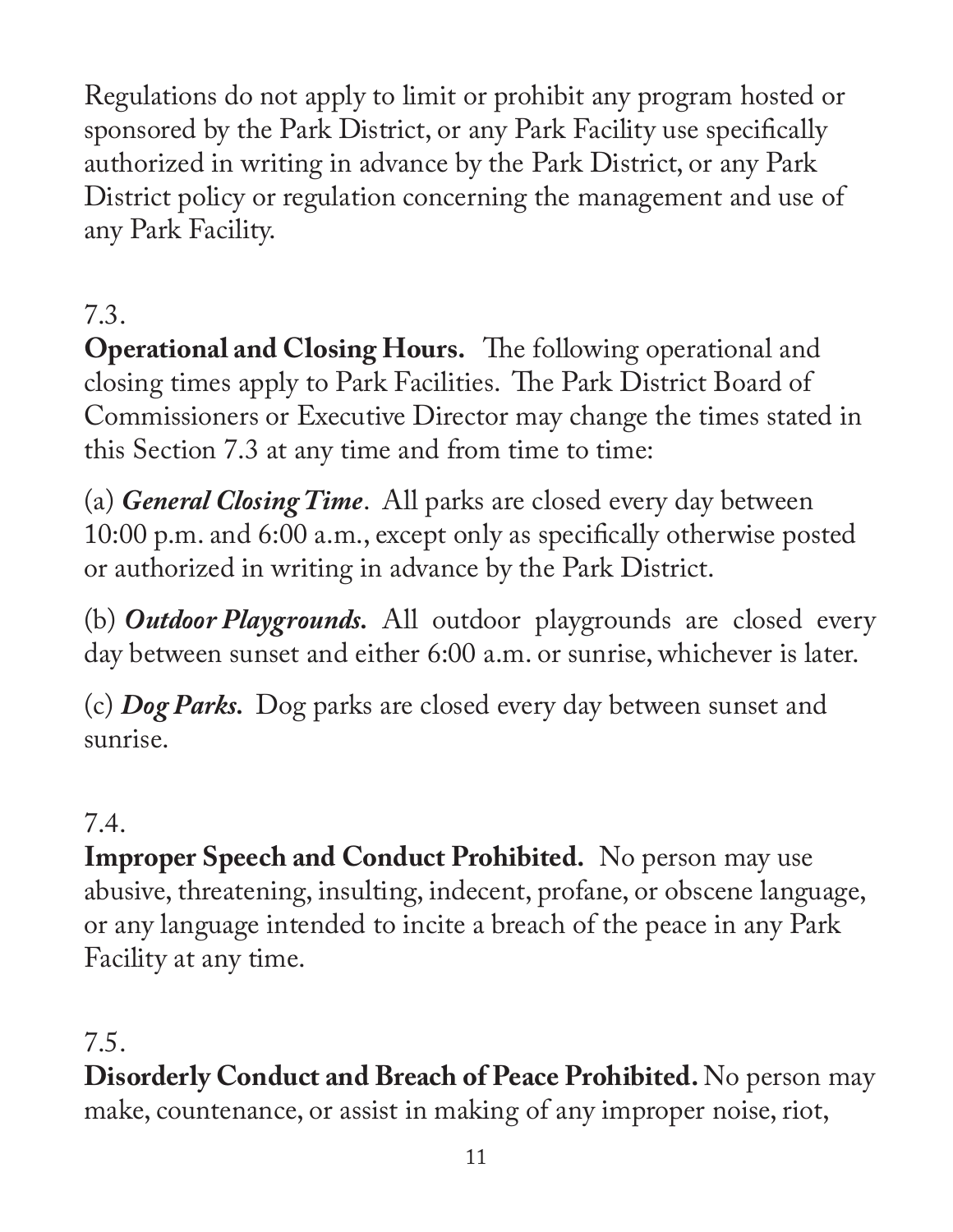Regulations do not apply to limit or prohibit any program hosted or sponsored by the Park District, or any Park Facility use specifically authorized in writing in advance by the Park District, or any Park District policy or regulation concerning the management and use of any Park Facility.

# 7.3.

**Operational and Closing Hours.** The following operational and closing times apply to Park Facilities. The Park District Board of Commissioners or Executive Director may change the times stated in this Section 7.3 at any time and from time to time:

(a) *General Closing Time*. All parks are closed every day between 10:00 p.m. and 6:00 a.m., except only as specifically otherwise posted or authorized in writing in advance by the Park District.

(b) *Outdoor Playgrounds.* All outdoor playgrounds are closed every day between sunset and either 6:00 a.m. or sunrise, whichever is later.

(c) *Dog Parks.* Dog parks are closed every day between sunset and sunrise.

## 7.4.

**Improper Speech and Conduct Prohibited.** No person may use abusive, threatening, insulting, indecent, profane, or obscene language, or any language intended to incite a breach of the peace in any Park Facility at any time.

#### 7.5.

**Disorderly Conduct and Breach of Peace Prohibited.** No person may make, countenance, or assist in making of any improper noise, riot,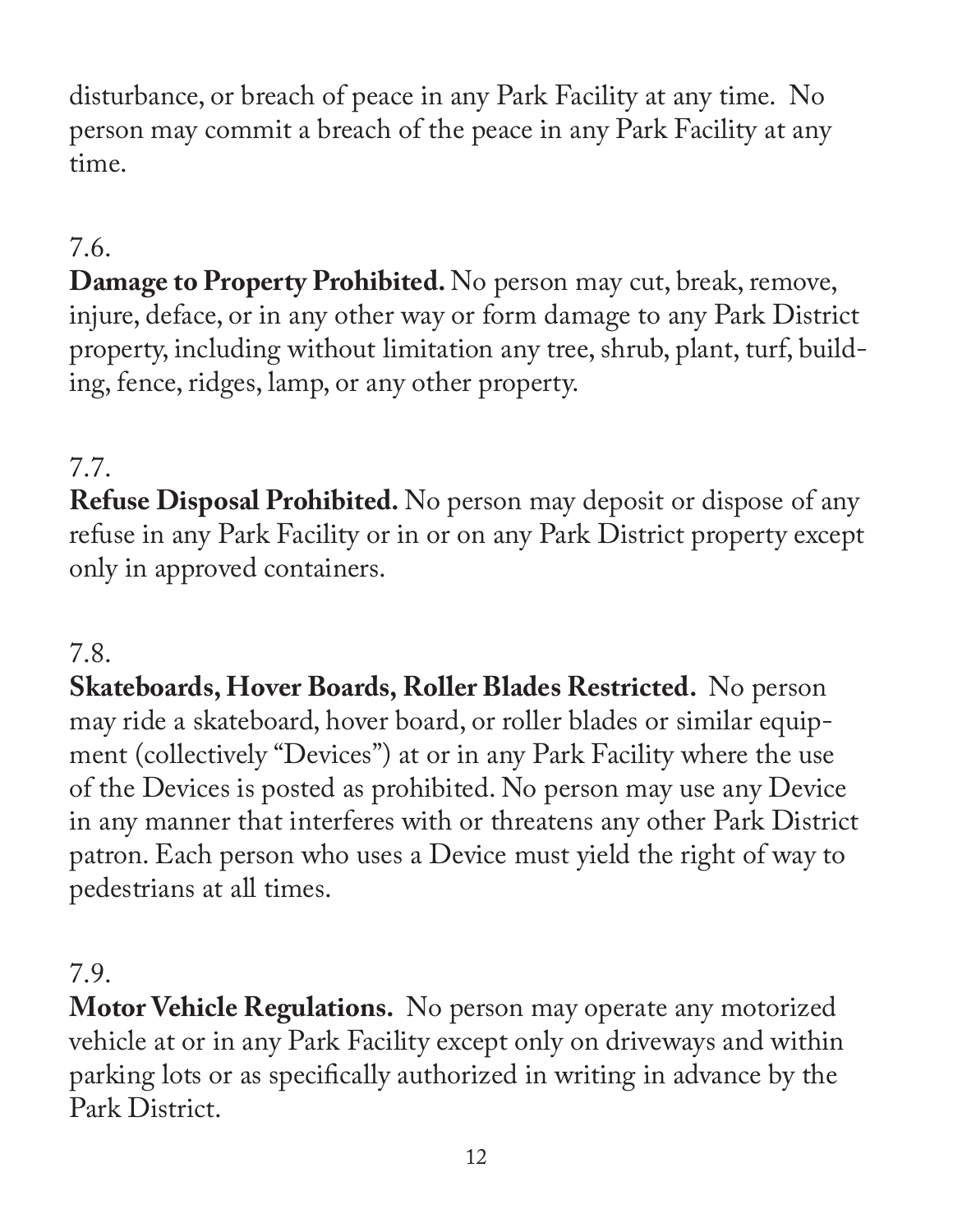disturbance, or breach of peace in any Park Facility at any time. No person may commit a breach of the peace in any Park Facility at any time.

# 7.6.

**Damage to Property Prohibited.** No person may cut, break, remove, injure, deface, or in any other way or form damage to any Park District property, including without limitation any tree, shrub, plant, turf, building, fence, ridges, lamp, or any other property.

## 7.7.

**Refuse Disposal Prohibited.** No person may deposit or dispose of any refuse in any Park Facility or in or on any Park District property except only in approved containers.

#### 7.8.

**Skateboards, Hover Boards, Roller Blades Restricted.** No person may ride a skateboard, hover board, or roller blades or similar equipment (collectively "Devices") at or in any Park Facility where the use of the Devices is posted as prohibited. No person may use any Device in any manner that interferes with or threatens any other Park District patron. Each person who uses a Device must yield the right of way to pedestrians at all times.

#### 7.9.

**Motor Vehicle Regulations.** No person may operate any motorized vehicle at or in any Park Facility except only on driveways and within parking lots or as specifically authorized in writing in advance by the Park District.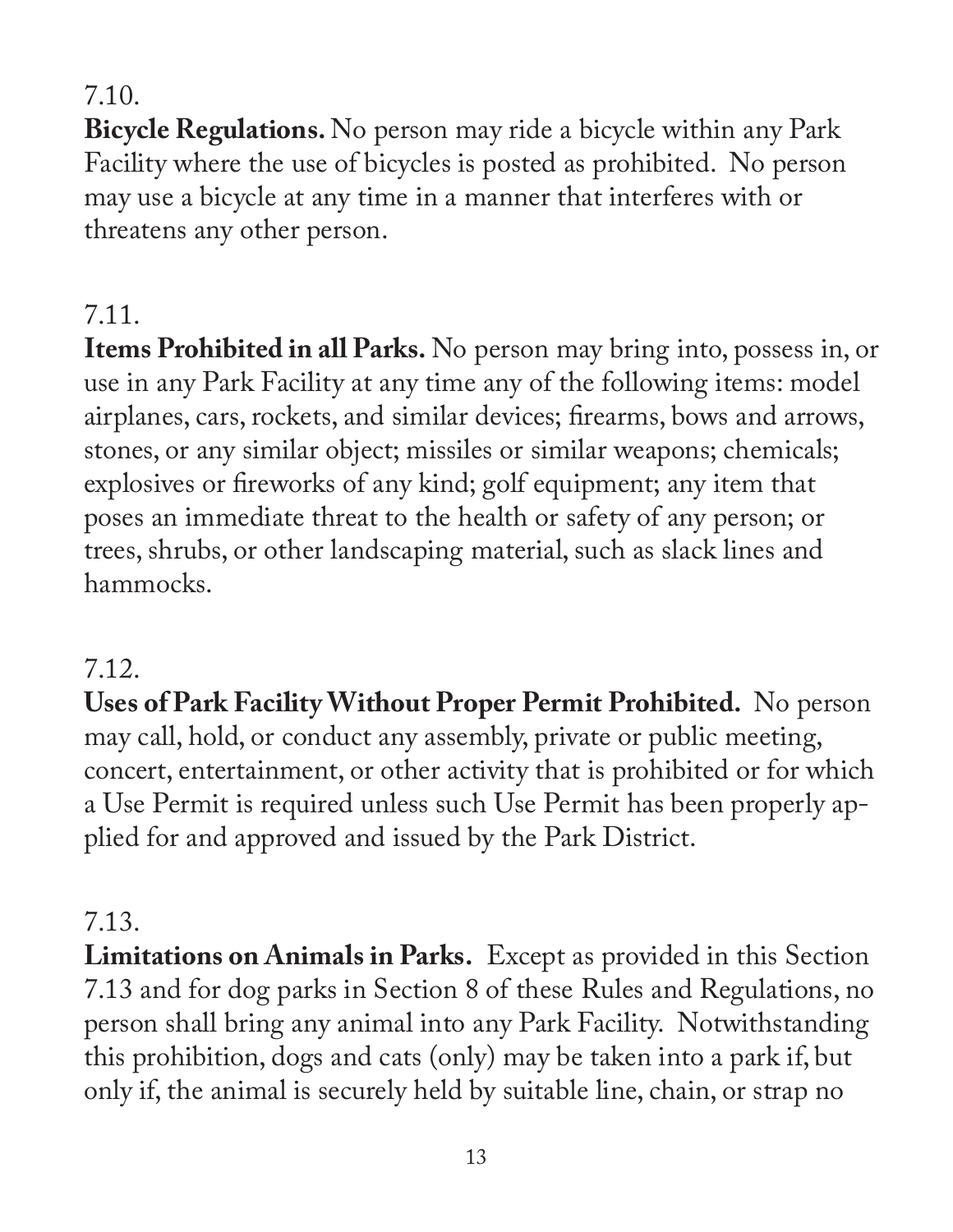#### 7.10.

**Bicycle Regulations.** No person may ride a bicycle within any Park Facility where the use of bicycles is posted as prohibited. No person may use a bicycle at any time in a manner that interferes with or threatens any other person.

## 7.11.

**Items Prohibited in all Parks.** No person may bring into, possess in, or use in any Park Facility at any time any of the following items: model airplanes, cars, rockets, and similar devices; firearms, bows and arrows, stones, or any similar object; missiles or similar weapons; chemicals; explosives or fireworks of any kind; golf equipment; any item that poses an immediate threat to the health or safety of any person; or trees, shrubs, or other landscaping material, such as slack lines and hammocks.

## 7.12.

**Uses of Park Facility Without Proper Permit Prohibited.** No person may call, hold, or conduct any assembly, private or public meeting, concert, entertainment, or other activity that is prohibited or for which a Use Permit is required unless such Use Permit has been properly applied for and approved and issued by the Park District.

# 7.13.

**Limitations on Animals in Parks.** Except as provided in this Section 7.13 and for dog parks in Section 8 of these Rules and Regulations, no person shall bring any animal into any Park Facility. Notwithstanding this prohibition, dogs and cats (only) may be taken into a park if, but only if, the animal is securely held by suitable line, chain, or strap no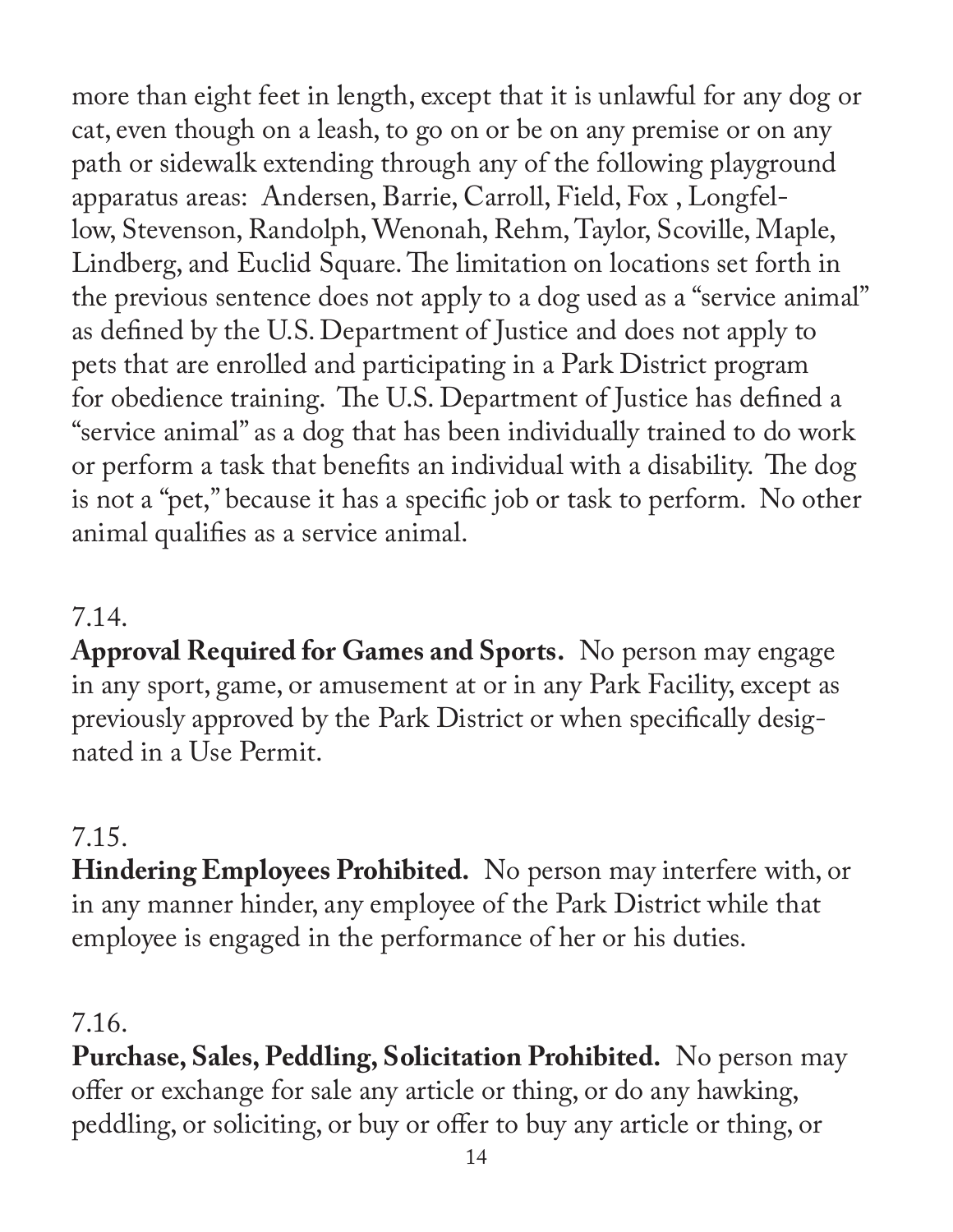more than eight feet in length, except that it is unlawful for any dog or cat, even though on a leash, to go on or be on any premise or on any path or sidewalk extending through any of the following playground apparatus areas: Andersen, Barrie, Carroll, Field, Fox , Longfellow, Stevenson, Randolph, Wenonah, Rehm, Taylor, Scoville, Maple, Lindberg, and Euclid Square. The limitation on locations set forth in the previous sentence does not apply to a dog used as a "service animal" as defined by the U.S. Department of Justice and does not apply to pets that are enrolled and participating in a Park District program for obedience training. The U.S. Department of Justice has defined a "service animal" as a dog that has been individually trained to do work or perform a task that benefits an individual with a disability. The dog is not a "pet," because it has a specific job or task to perform. No other animal qualifies as a service animal.

#### 7.14.

**Approval Required for Games and Sports.** No person may engage in any sport, game, or amusement at or in any Park Facility, except as previously approved by the Park District or when specifically designated in a Use Permit.

#### 7.15.

**Hindering Employees Prohibited.** No person may interfere with, or in any manner hinder, any employee of the Park District while that employee is engaged in the performance of her or his duties.

#### 7.16.

**Purchase, Sales, Peddling, Solicitation Prohibited.** No person may offer or exchange for sale any article or thing, or do any hawking, peddling, or soliciting, or buy or offer to buy any article or thing, or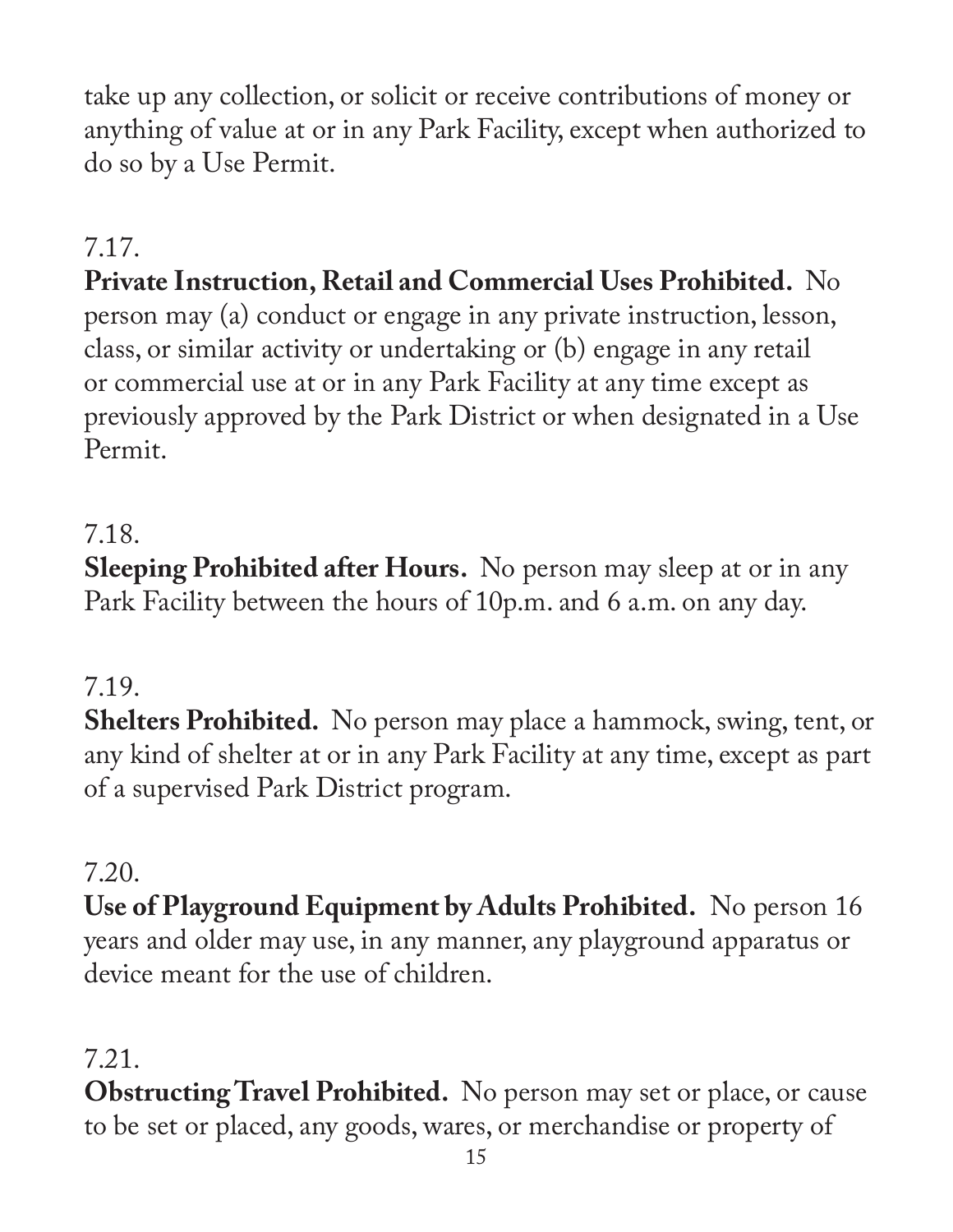take up any collection, or solicit or receive contributions of money or anything of value at or in any Park Facility, except when authorized to do so by a Use Permit.

## 7.17.

## **Private Instruction, Retail and Commercial Uses Prohibited.** No person may (a) conduct or engage in any private instruction, lesson, class, or similar activity or undertaking or (b) engage in any retail or commercial use at or in any Park Facility at any time except as previously approved by the Park District or when designated in a Use Permit.

#### 7.18.

**Sleeping Prohibited after Hours.** No person may sleep at or in any Park Facility between the hours of 10p.m. and 6 a.m. on any day.

#### 7.19.

**Shelters Prohibited.** No person may place a hammock, swing, tent, or any kind of shelter at or in any Park Facility at any time, except as part of a supervised Park District program.

#### 7.20.

**Use of Playground Equipment by Adults Prohibited.** No person 16 years and older may use, in any manner, any playground apparatus or device meant for the use of children.

## 7.21.

**Obstructing Travel Prohibited.** No person may set or place, or cause to be set or placed, any goods, wares, or merchandise or property of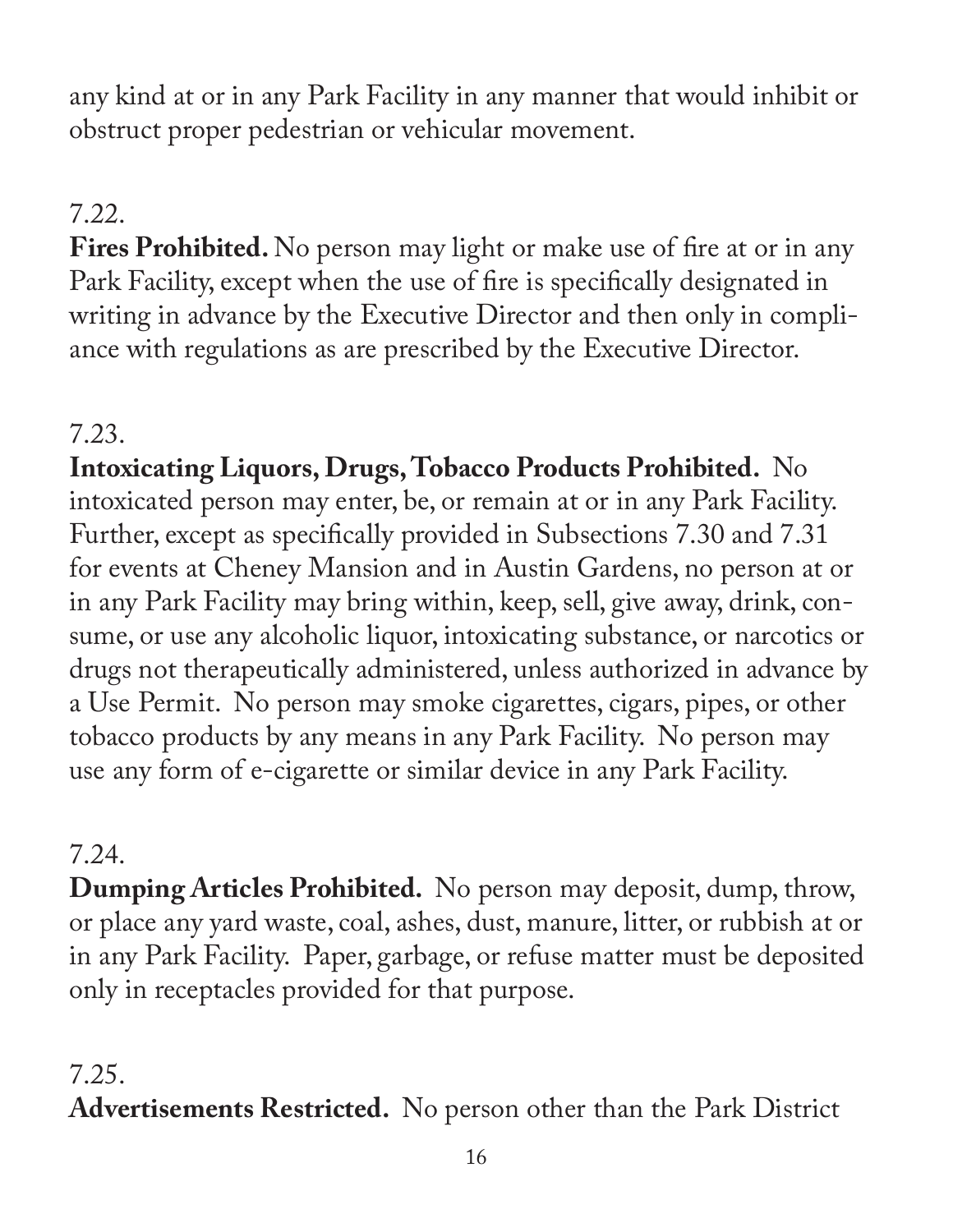any kind at or in any Park Facility in any manner that would inhibit or obstruct proper pedestrian or vehicular movement.

#### 7.22.

**Fires Prohibited.** No person may light or make use of fire at or in any Park Facility, except when the use of fire is specifically designated in writing in advance by the Executive Director and then only in compliance with regulations as are prescribed by the Executive Director.

## 7.23.

**Intoxicating Liquors, Drugs, Tobacco Products Prohibited.** No intoxicated person may enter, be, or remain at or in any Park Facility. Further, except as specifically provided in Subsections 7.30 and 7.31 for events at Cheney Mansion and in Austin Gardens, no person at or in any Park Facility may bring within, keep, sell, give away, drink, consume, or use any alcoholic liquor, intoxicating substance, or narcotics or drugs not therapeutically administered, unless authorized in advance by a Use Permit. No person may smoke cigarettes, cigars, pipes, or other tobacco products by any means in any Park Facility. No person may use any form of e-cigarette or similar device in any Park Facility.

## 7.24.

**Dumping Articles Prohibited.** No person may deposit, dump, throw, or place any yard waste, coal, ashes, dust, manure, litter, or rubbish at or in any Park Facility. Paper, garbage, or refuse matter must be deposited only in receptacles provided for that purpose.

## 7.25.

**Advertisements Restricted.** No person other than the Park District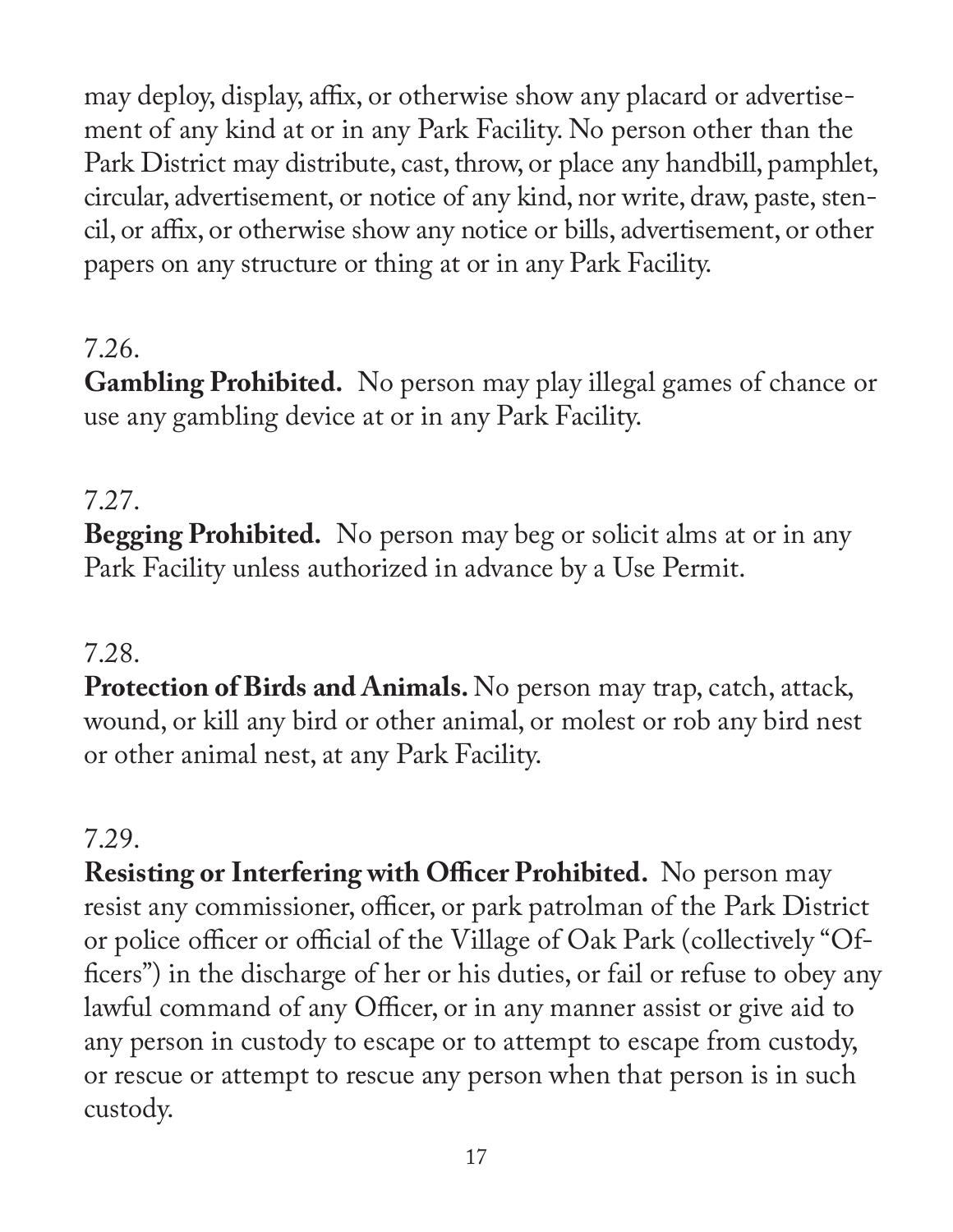may deploy, display, affix, or otherwise show any placard or advertisement of any kind at or in any Park Facility. No person other than the Park District may distribute, cast, throw, or place any handbill, pamphlet, circular, advertisement, or notice of any kind, nor write, draw, paste, stencil, or affix, or otherwise show any notice or bills, advertisement, or other papers on any structure or thing at or in any Park Facility.

## 7.26.

**Gambling Prohibited.** No person may play illegal games of chance or use any gambling device at or in any Park Facility.

## 7.27.

**Begging Prohibited.** No person may beg or solicit alms at or in any Park Facility unless authorized in advance by a Use Permit.

## 7.28.

**Protection of Birds and Animals.** No person may trap, catch, attack, wound, or kill any bird or other animal, or molest or rob any bird nest or other animal nest, at any Park Facility.

#### 7.29.

**Resisting or Interfering with Officer Prohibited.** No person may resist any commissioner, officer, or park patrolman of the Park District or police officer or official of the Village of Oak Park (collectively "Officers") in the discharge of her or his duties, or fail or refuse to obey any lawful command of any Officer, or in any manner assist or give aid to any person in custody to escape or to attempt to escape from custody, or rescue or attempt to rescue any person when that person is in such custody.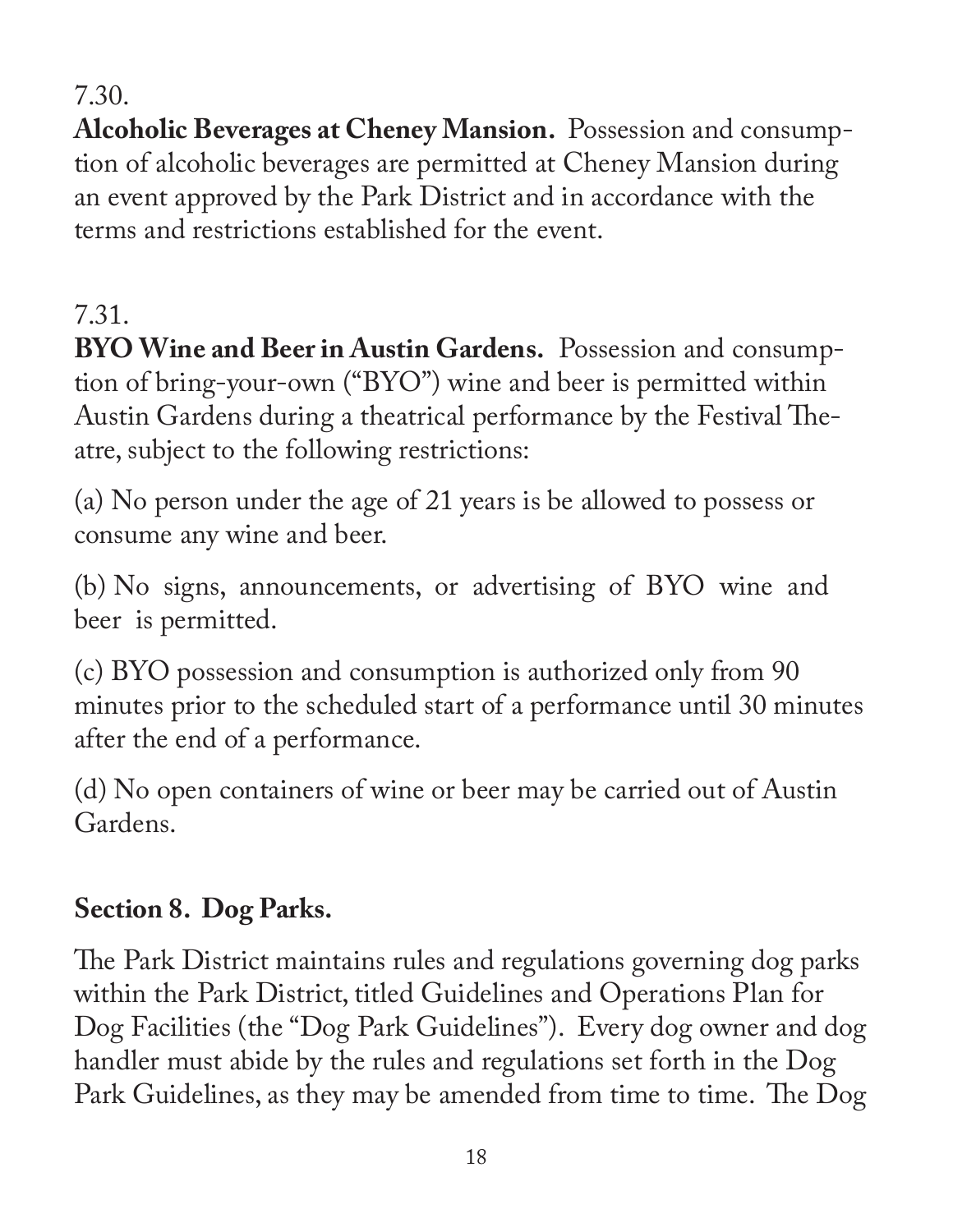## 7.30.

**Alcoholic Beverages at Cheney Mansion.** Possession and consumption of alcoholic beverages are permitted at Cheney Mansion during an event approved by the Park District and in accordance with the terms and restrictions established for the event.

# 7.31.

**BYO Wine and Beer in Austin Gardens.** Possession and consumption of bring-your-own ("BYO") wine and beer is permitted within Austin Gardens during a theatrical performance by the Festival Theatre, subject to the following restrictions:

(a) No person under the age of 21 years is be allowed to possess or consume any wine and beer.

(b) No signs, announcements, or advertising of BYO wine and beer is permitted.

(c) BYO possession and consumption is authorized only from 90 minutes prior to the scheduled start of a performance until 30 minutes after the end of a performance.

(d) No open containers of wine or beer may be carried out of Austin Gardens.

# **Section 8. Dog Parks.**

The Park District maintains rules and regulations governing dog parks within the Park District, titled Guidelines and Operations Plan for Dog Facilities (the "Dog Park Guidelines"). Every dog owner and dog handler must abide by the rules and regulations set forth in the Dog Park Guidelines, as they may be amended from time to time. The Dog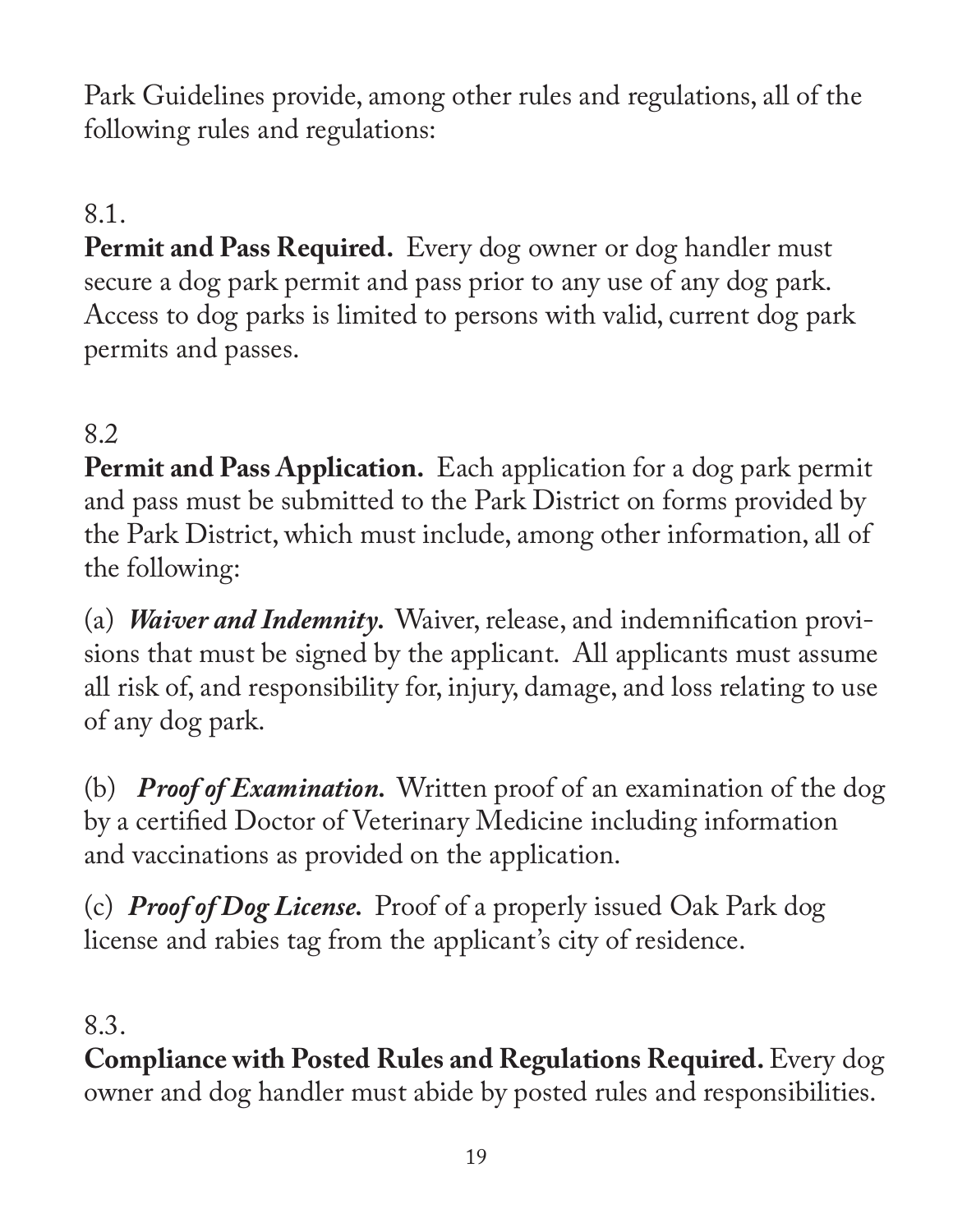Park Guidelines provide, among other rules and regulations, all of the following rules and regulations:

## 8.1.

**Permit and Pass Required.** Every dog owner or dog handler must secure a dog park permit and pass prior to any use of any dog park. Access to dog parks is limited to persons with valid, current dog park permits and passes.

#### 8.2

**Permit and Pass Application.** Each application for a dog park permit and pass must be submitted to the Park District on forms provided by the Park District, which must include, among other information, all of the following:

(a) *Waiver and Indemnity.* Waiver, release, and indemnification provisions that must be signed by the applicant. All applicants must assume all risk of, and responsibility for, injury, damage, and loss relating to use of any dog park.

(b) *Proof of Examination.* Written proof of an examination of the dog by a certified Doctor of Veterinary Medicine including information and vaccinations as provided on the application.

(c) *Proof of Dog License.* Proof of a properly issued Oak Park dog license and rabies tag from the applicant's city of residence.

#### 8.3.

**Compliance with Posted Rules and Regulations Required.** Every dog owner and dog handler must abide by posted rules and responsibilities.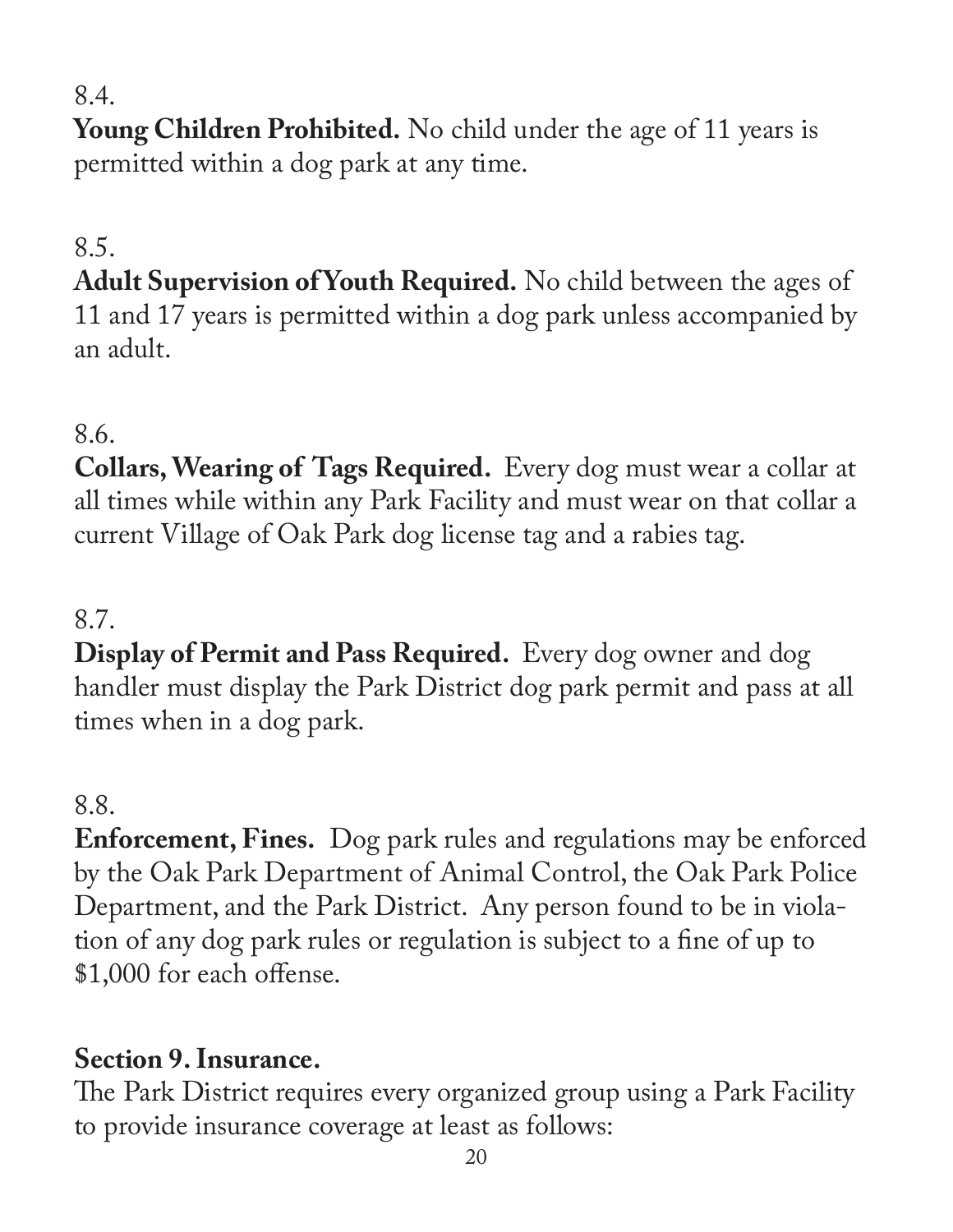## 8.4.

**Young Children Prohibited.** No child under the age of 11 years is permitted within a dog park at any time.

# 8.5.

**Adult Supervision of Youth Required.** No child between the ages of 11 and 17 years is permitted within a dog park unless accompanied by an adult.

#### 8.6.

**Collars, Wearing of Tags Required.** Every dog must wear a collar at all times while within any Park Facility and must wear on that collar a current Village of Oak Park dog license tag and a rabies tag.

#### 8.7.

**Display of Permit and Pass Required.** Every dog owner and dog handler must display the Park District dog park permit and pass at all times when in a dog park.

#### 8.8.

**Enforcement, Fines.** Dog park rules and regulations may be enforced by the Oak Park Department of Animal Control, the Oak Park Police Department, and the Park District. Any person found to be in violation of any dog park rules or regulation is subject to a fine of up to \$1,000 for each offense.

## **Section 9. Insurance.**

The Park District requires every organized group using a Park Facility to provide insurance coverage at least as follows: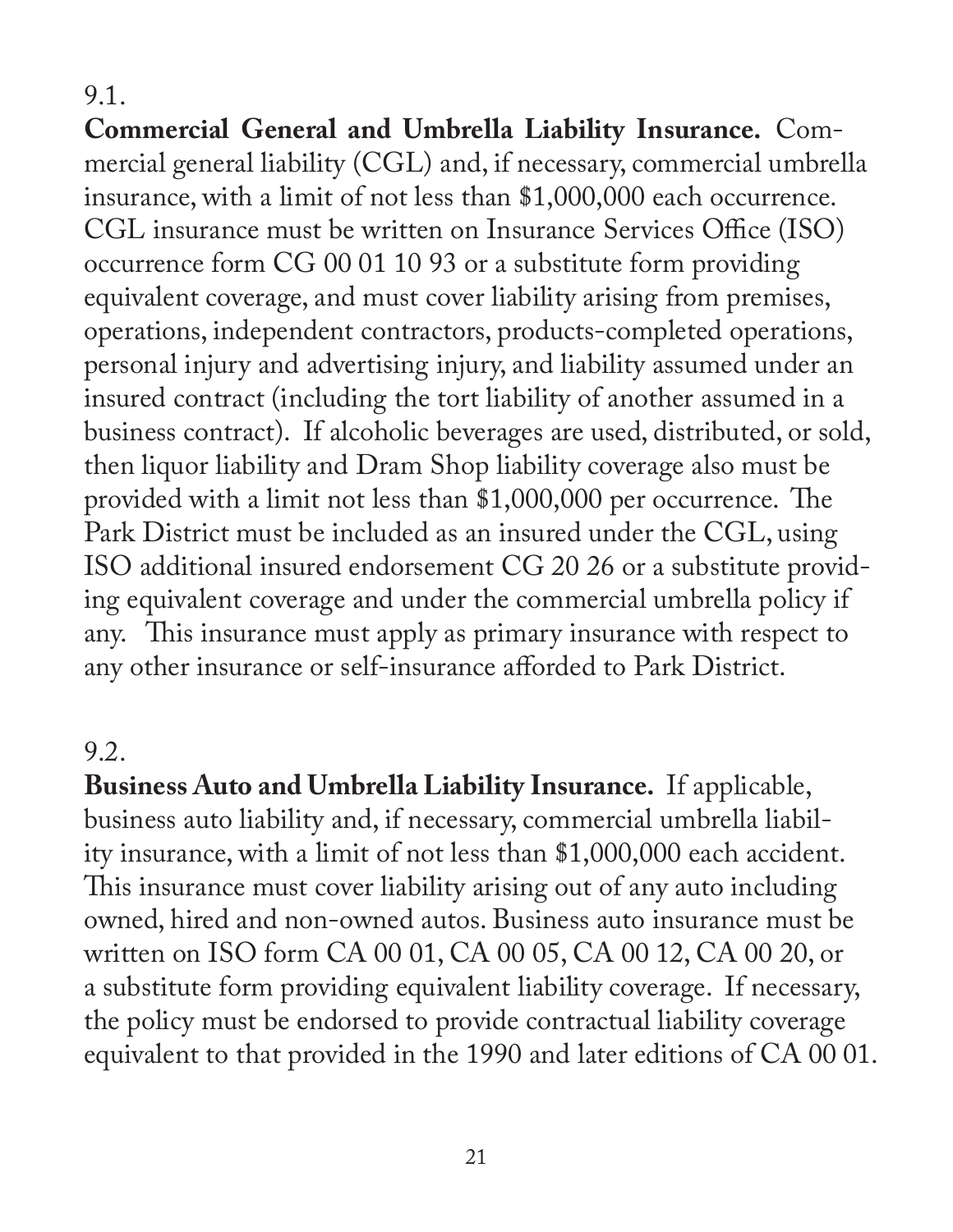#### 9.1.

**Commercial General and Umbrella Liability Insurance.** Commercial general liability (CGL) and, if necessary, commercial umbrella insurance, with a limit of not less than \$1,000,000 each occurrence. CGL insurance must be written on Insurance Services Office (ISO) occurrence form CG 00 01 10 93 or a substitute form providing equivalent coverage, and must cover liability arising from premises, operations, independent contractors, products-completed operations, personal injury and advertising injury, and liability assumed under an insured contract (including the tort liability of another assumed in a business contract). If alcoholic beverages are used, distributed, or sold, then liquor liability and Dram Shop liability coverage also must be provided with a limit not less than \$1,000,000 per occurrence. The Park District must be included as an insured under the CGL, using ISO additional insured endorsement CG 20 26 or a substitute providing equivalent coverage and under the commercial umbrella policy if any. This insurance must apply as primary insurance with respect to any other insurance or self-insurance afforded to Park District.

#### 9.2.

**Business Auto and Umbrella Liability Insurance.** If applicable, business auto liability and, if necessary, commercial umbrella liability insurance, with a limit of not less than \$1,000,000 each accident. This insurance must cover liability arising out of any auto including owned, hired and non-owned autos. Business auto insurance must be written on ISO form CA 00 01, CA 00 05, CA 00 12, CA 00 20, or a substitute form providing equivalent liability coverage. If necessary, the policy must be endorsed to provide contractual liability coverage equivalent to that provided in the 1990 and later editions of CA 00 01.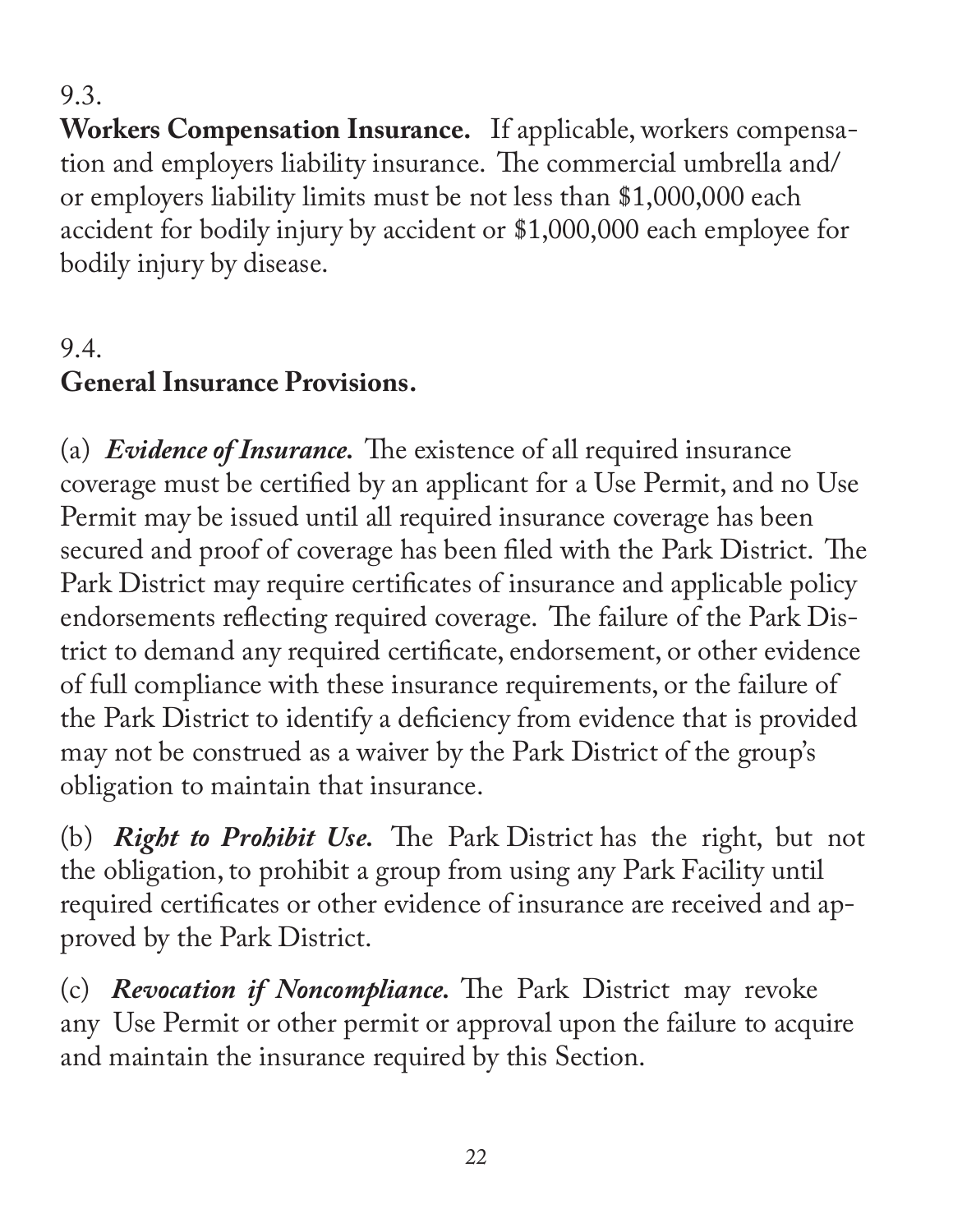9.3.

**Workers Compensation Insurance.** If applicable, workers compensation and employers liability insurance. The commercial umbrella and/ or employers liability limits must be not less than \$1,000,000 each accident for bodily injury by accident or \$1,000,000 each employee for bodily injury by disease.

# 9.4. **General Insurance Provisions.**

(a) *Evidence of Insurance.* The existence of all required insurance coverage must be certified by an applicant for a Use Permit, and no Use Permit may be issued until all required insurance coverage has been secured and proof of coverage has been filed with the Park District. The Park District may require certificates of insurance and applicable policy endorsements reflecting required coverage. The failure of the Park District to demand any required certificate, endorsement, or other evidence of full compliance with these insurance requirements, or the failure of the Park District to identify a deficiency from evidence that is provided may not be construed as a waiver by the Park District of the group's obligation to maintain that insurance.

(b) *Right to Prohibit Use.* The Park District has the right, but not the obligation, to prohibit a group from using any Park Facility until required certificates or other evidence of insurance are received and approved by the Park District.

(c) *Revocation if Noncompliance.* The Park District may revoke any Use Permit or other permit or approval upon the failure to acquire and maintain the insurance required by this Section.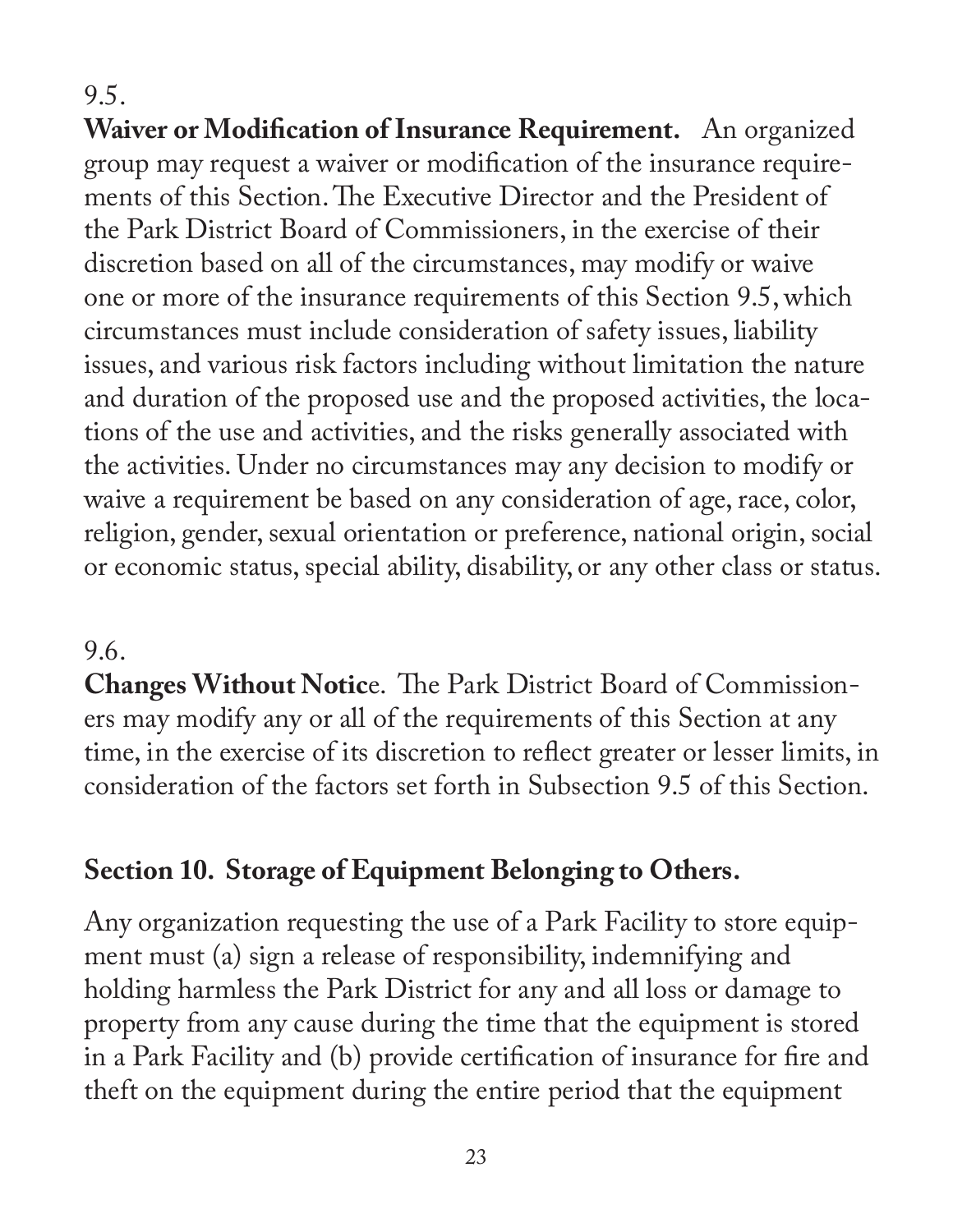9.5.

**Waiver or Modification of Insurance Requirement.** An organized group may request a waiver or modification of the insurance requirements of this Section. The Executive Director and the President of the Park District Board of Commissioners, in the exercise of their discretion based on all of the circumstances, may modify or waive one or more of the insurance requirements of this Section 9.5, which circumstances must include consideration of safety issues, liability issues, and various risk factors including without limitation the nature and duration of the proposed use and the proposed activities, the locations of the use and activities, and the risks generally associated with the activities. Under no circumstances may any decision to modify or waive a requirement be based on any consideration of age, race, color, religion, gender, sexual orientation or preference, national origin, social or economic status, special ability, disability, or any other class or status.

#### 9.6.

**Changes Without Notic**e. The Park District Board of Commissioners may modify any or all of the requirements of this Section at any time, in the exercise of its discretion to reflect greater or lesser limits, in consideration of the factors set forth in Subsection 9.5 of this Section.

## **Section 10. Storage of Equipment Belonging to Others.**

Any organization requesting the use of a Park Facility to store equipment must (a) sign a release of responsibility, indemnifying and holding harmless the Park District for any and all loss or damage to property from any cause during the time that the equipment is stored in a Park Facility and (b) provide certification of insurance for fire and theft on the equipment during the entire period that the equipment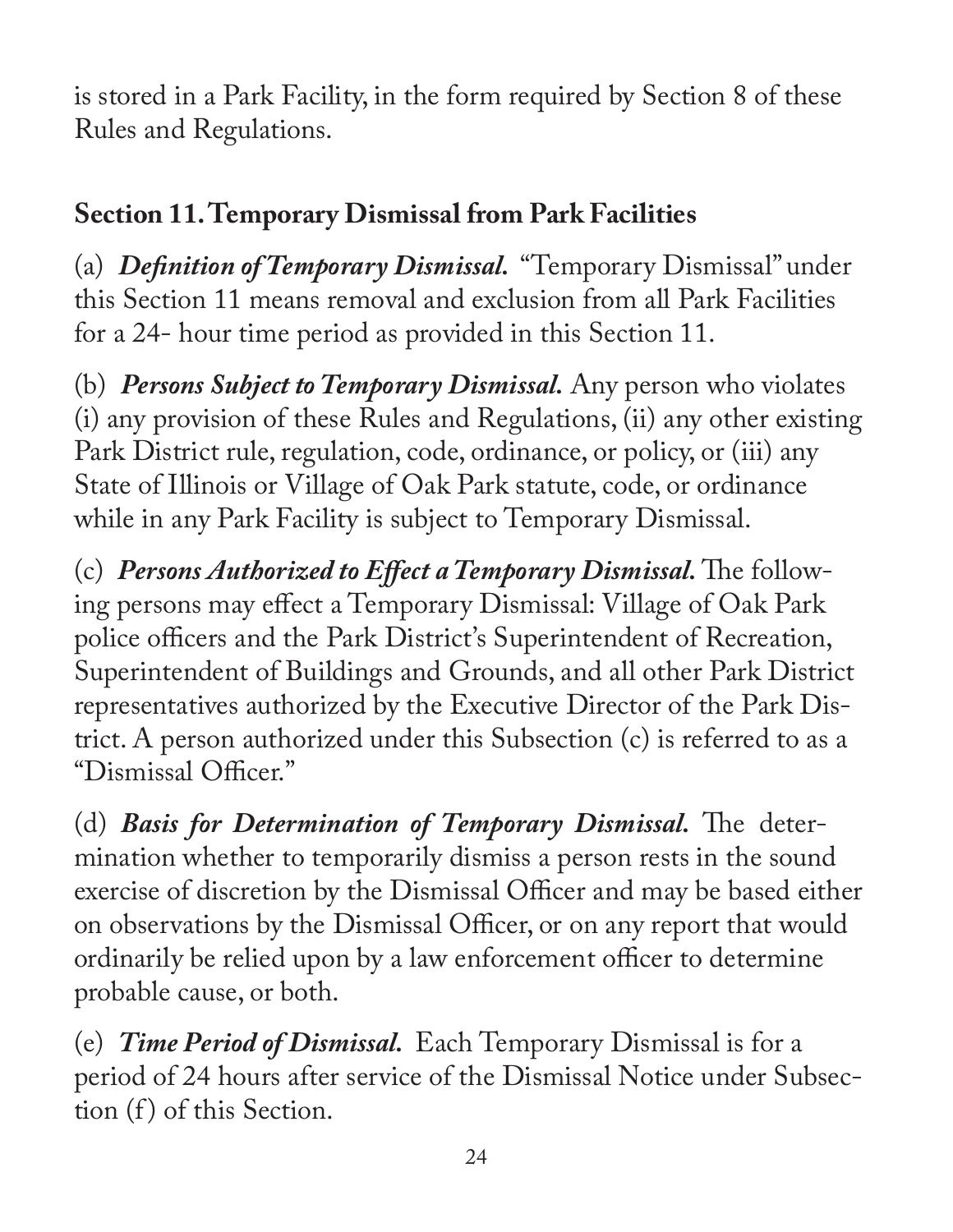is stored in a Park Facility, in the form required by Section 8 of these Rules and Regulations.

# **Section 11. Temporary Dismissal from Park Facilities**

(a) *Definition of Temporary Dismissal.* "Temporary Dismissal" under this Section 11 means removal and exclusion from all Park Facilities for a 24- hour time period as provided in this Section 11.

(b) *Persons Subject to Temporary Dismissal.* Any person who violates (i) any provision of these Rules and Regulations, (ii) any other existing Park District rule, regulation, code, ordinance, or policy, or (iii) any State of Illinois or Village of Oak Park statute, code, or ordinance while in any Park Facility is subject to Temporary Dismissal.

(c) *Persons Authorized to Effect a Temporary Dismissal.* The following persons may effect a Temporary Dismissal: Village of Oak Park police officers and the Park District's Superintendent of Recreation, Superintendent of Buildings and Grounds, and all other Park District representatives authorized by the Executive Director of the Park District. A person authorized under this Subsection (c) is referred to as a "Dismissal Officer."

(d) *Basis for Determination of Temporary Dismissal.* The determination whether to temporarily dismiss a person rests in the sound exercise of discretion by the Dismissal Officer and may be based either on observations by the Dismissal Officer, or on any report that would ordinarily be relied upon by a law enforcement officer to determine probable cause, or both.

(e) *Time Period of Dismissal.* Each Temporary Dismissal is for a period of 24 hours after service of the Dismissal Notice under Subsection (f) of this Section.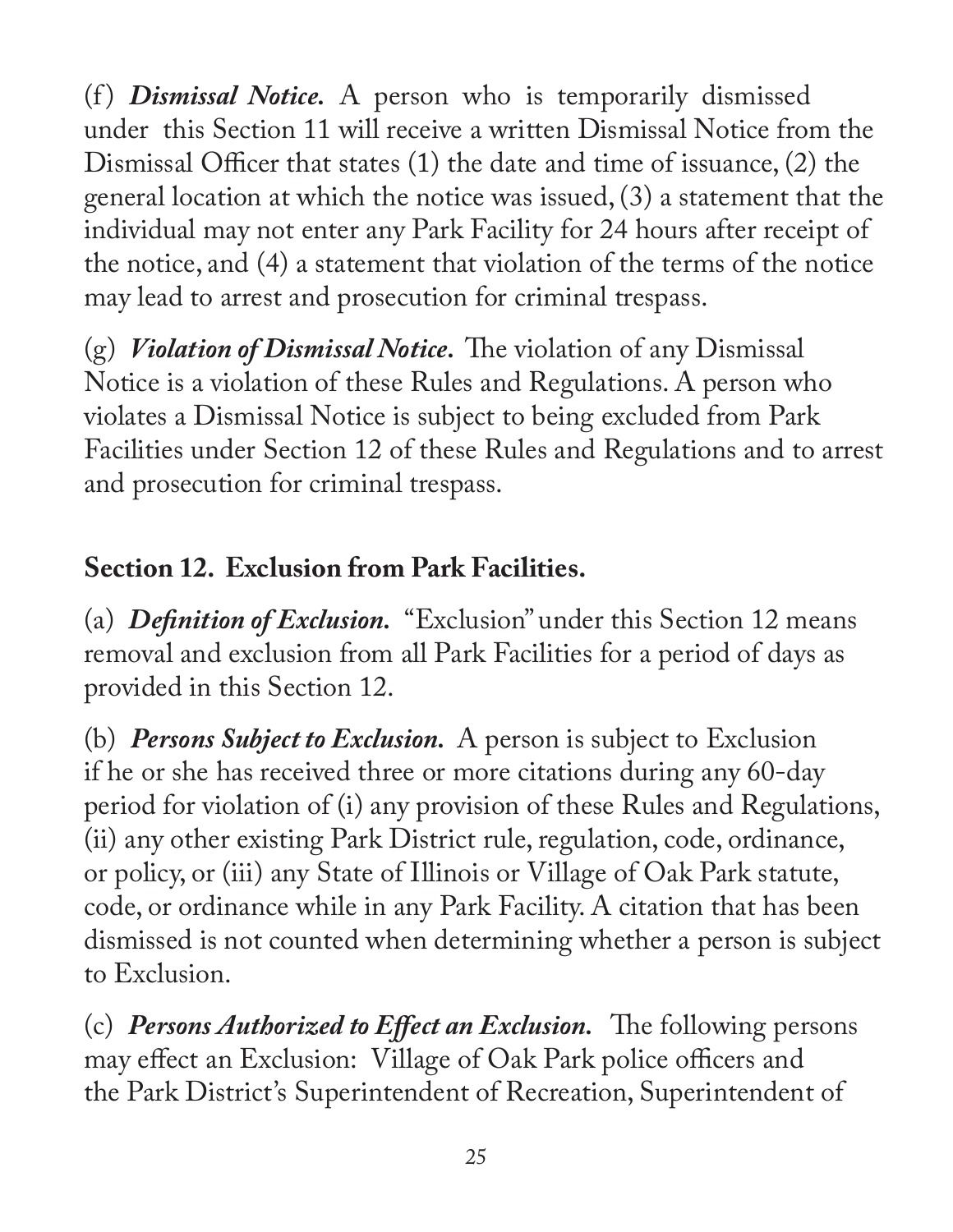(f) *Dismissal Notice*. A person who is temporarily dismissed under this Section 11 will receive a written Dismissal Notice from the Dismissal Officer that states (1) the date and time of issuance, (2) the general location at which the notice was issued, (3) a statement that the individual may not enter any Park Facility for 24 hours after receipt of the notice, and (4) a statement that violation of the terms of the notice may lead to arrest and prosecution for criminal trespass.

(g) *Violation of Dismissal Notice.* The violation of any Dismissal Notice is a violation of these Rules and Regulations. A person who violates a Dismissal Notice is subject to being excluded from Park Facilities under Section 12 of these Rules and Regulations and to arrest and prosecution for criminal trespass.

## **Section 12. Exclusion from Park Facilities.**

(a) *Definition of Exclusion.* "Exclusion" under this Section 12 means removal and exclusion from all Park Facilities for a period of days as provided in this Section 12.

(b) *Persons Subject to Exclusion.* A person is subject to Exclusion if he or she has received three or more citations during any 60-day period for violation of (i) any provision of these Rules and Regulations, (ii) any other existing Park District rule, regulation, code, ordinance, or policy, or (iii) any State of Illinois or Village of Oak Park statute, code, or ordinance while in any Park Facility. A citation that has been dismissed is not counted when determining whether a person is subject to Exclusion.

(c) *Persons Authorized to Effect an Exclusion.* The following persons may effect an Exclusion: Village of Oak Park police officers and the Park District's Superintendent of Recreation, Superintendent of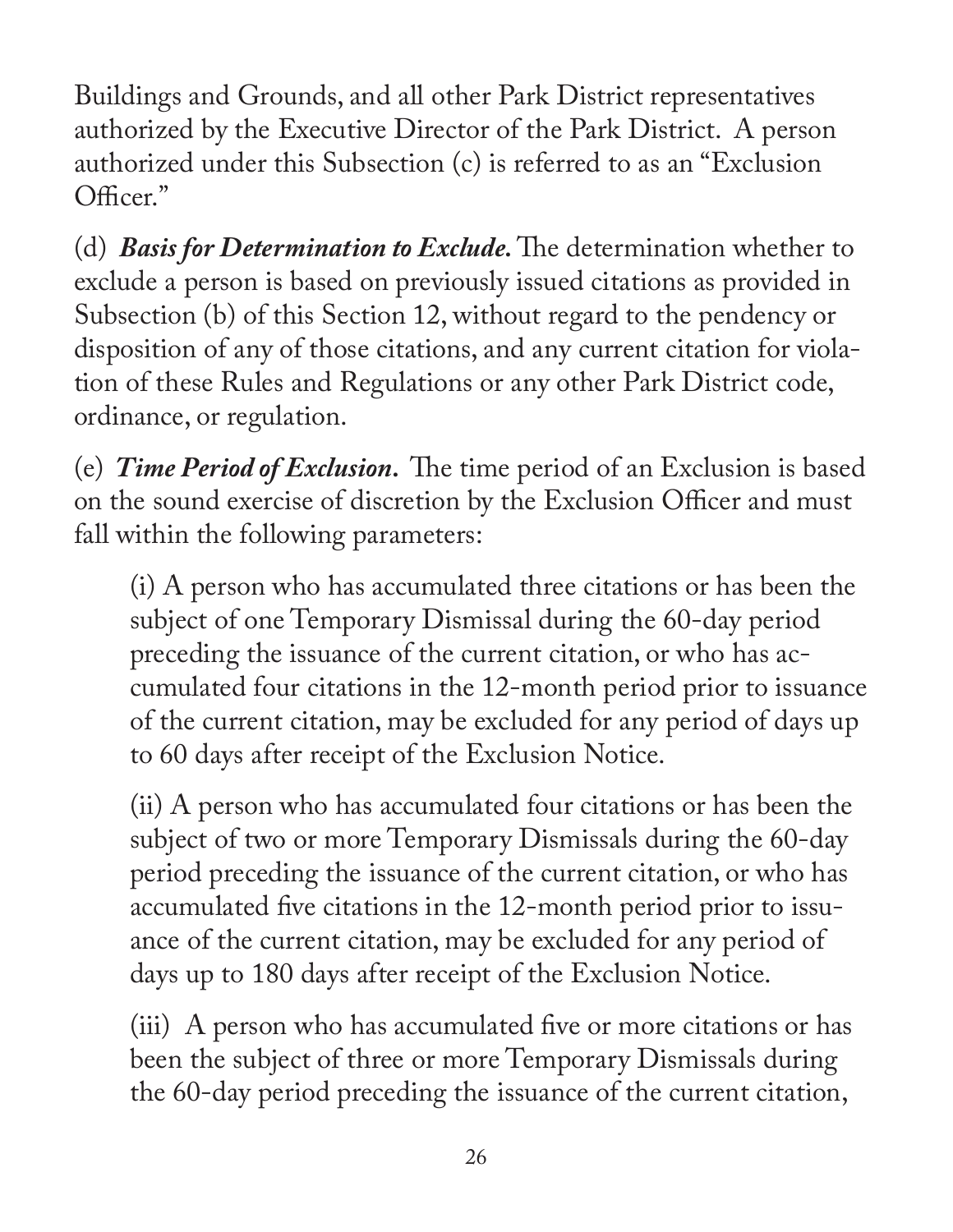Buildings and Grounds, and all other Park District representatives authorized by the Executive Director of the Park District. A person authorized under this Subsection (c) is referred to as an "Exclusion Officer."

(d) *Basis for Determination to Exclude.* The determination whether to exclude a person is based on previously issued citations as provided in Subsection (b) of this Section 12, without regard to the pendency or disposition of any of those citations, and any current citation for violation of these Rules and Regulations or any other Park District code, ordinance, or regulation.

(e) *Time Period of Exclusion.* The time period of an Exclusion is based on the sound exercise of discretion by the Exclusion Officer and must fall within the following parameters:

(i) A person who has accumulated three citations or has been the subject of one Temporary Dismissal during the 60-day period preceding the issuance of the current citation, or who has accumulated four citations in the 12-month period prior to issuance of the current citation, may be excluded for any period of days up to 60 days after receipt of the Exclusion Notice.

(ii) A person who has accumulated four citations or has been the subject of two or more Temporary Dismissals during the 60-day period preceding the issuance of the current citation, or who has accumulated five citations in the 12-month period prior to issuance of the current citation, may be excluded for any period of days up to 180 days after receipt of the Exclusion Notice.

(iii) A person who has accumulated five or more citations or has been the subject of three or more Temporary Dismissals during the 60-day period preceding the issuance of the current citation,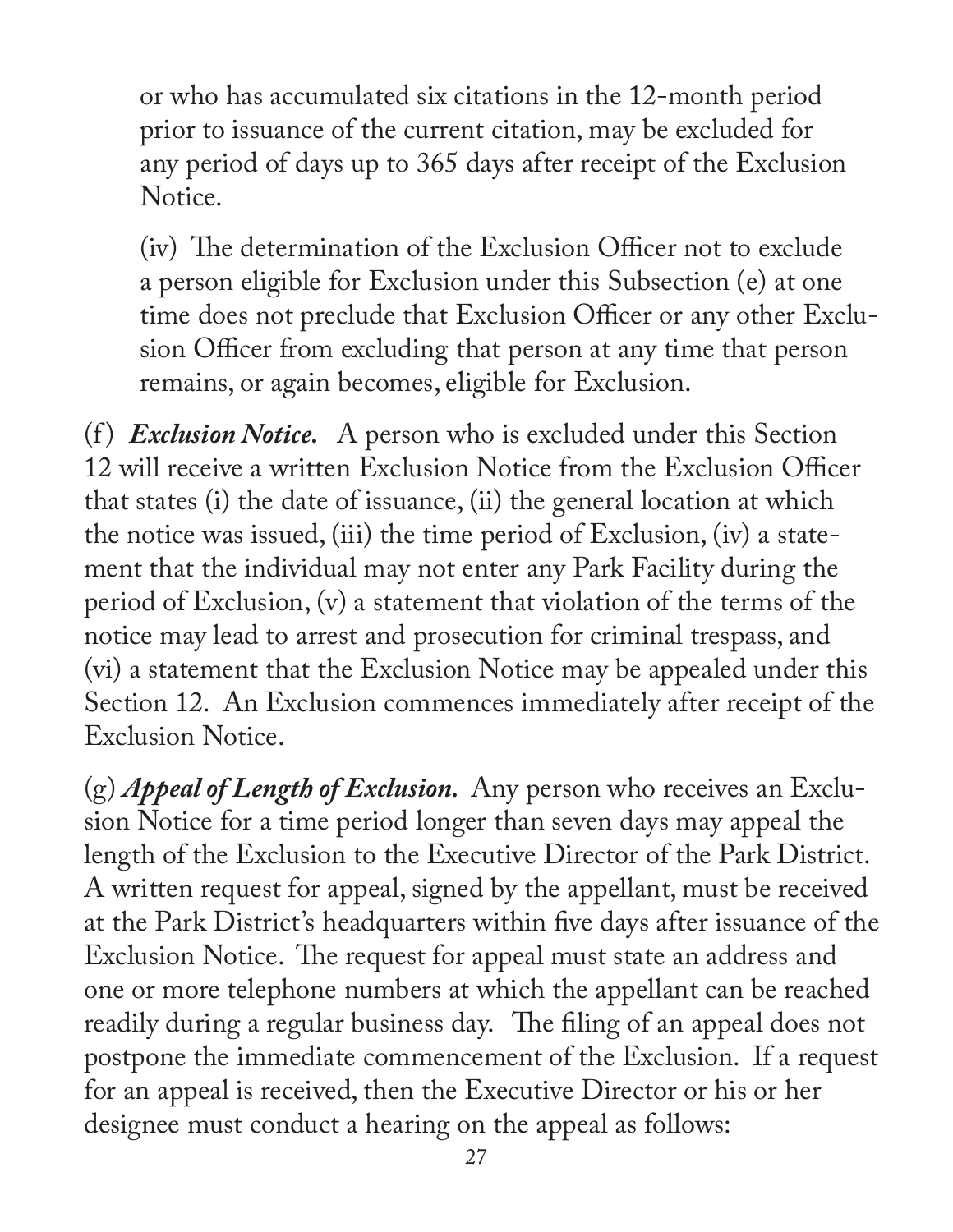or who has accumulated six citations in the 12-month period prior to issuance of the current citation, may be excluded for any period of days up to 365 days after receipt of the Exclusion Notice.

(iv) The determination of the Exclusion Officer not to exclude a person eligible for Exclusion under this Subsection (e) at one time does not preclude that Exclusion Officer or any other Exclusion Officer from excluding that person at any time that person remains, or again becomes, eligible for Exclusion.

(f ) *Exclusion Notice.* A person who is excluded under this Section 12 will receive a written Exclusion Notice from the Exclusion Officer that states (i) the date of issuance, (ii) the general location at which the notice was issued, (iii) the time period of Exclusion, (iv) a statement that the individual may not enter any Park Facility during the period of Exclusion, (v) a statement that violation of the terms of the notice may lead to arrest and prosecution for criminal trespass, and (vi) a statement that the Exclusion Notice may be appealed under this Section 12. An Exclusion commences immediately after receipt of the Exclusion Notice.

(g) *Appeal of Length of Exclusion.* Any person who receives an Exclusion Notice for a time period longer than seven days may appeal the length of the Exclusion to the Executive Director of the Park District. A written request for appeal, signed by the appellant, must be received at the Park District's headquarters within five days after issuance of the Exclusion Notice. The request for appeal must state an address and one or more telephone numbers at which the appellant can be reached readily during a regular business day. The filing of an appeal does not postpone the immediate commencement of the Exclusion. If a request for an appeal is received, then the Executive Director or his or her designee must conduct a hearing on the appeal as follows: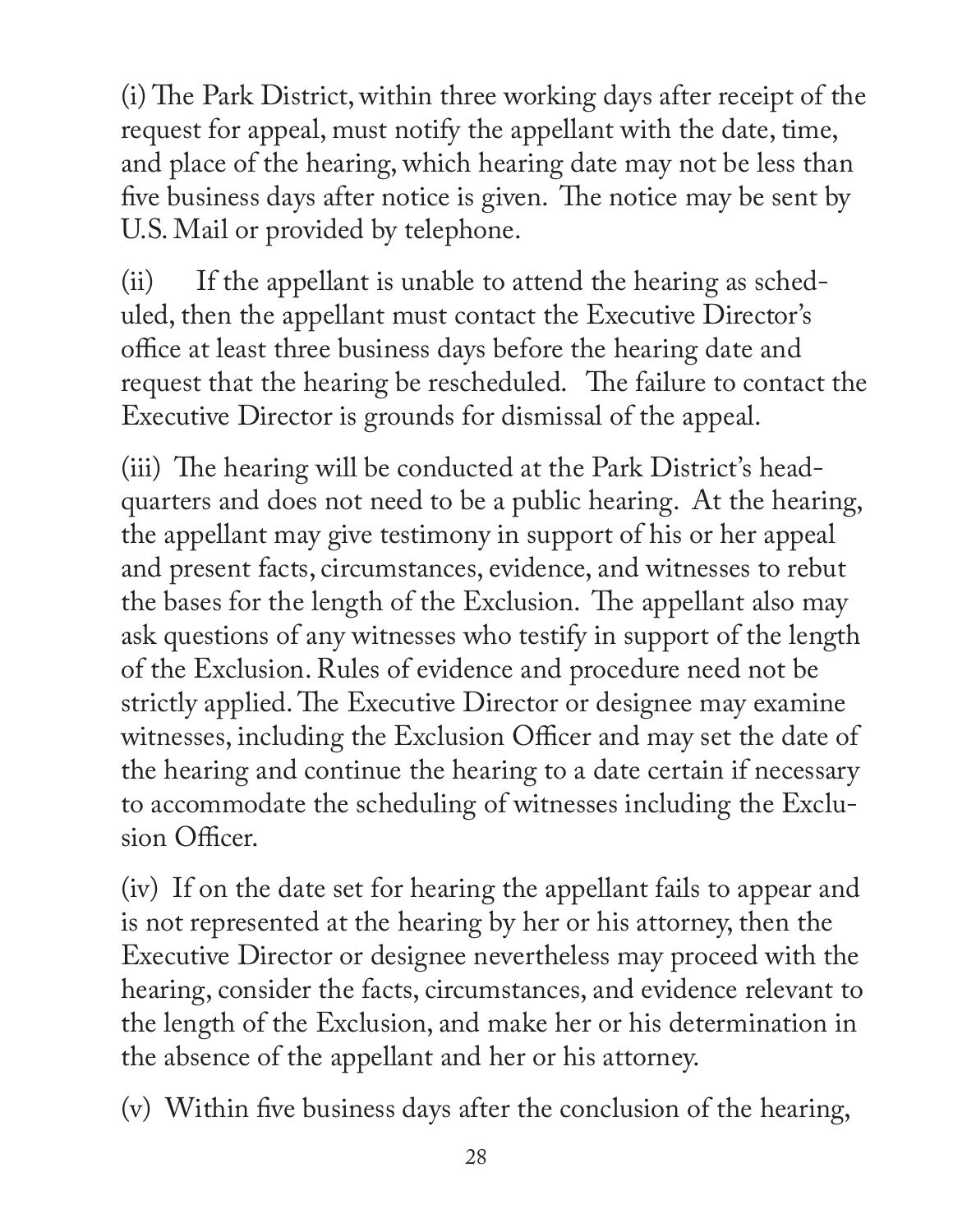(i) The Park District, within three working days after receipt of the request for appeal, must notify the appellant with the date, time, and place of the hearing, which hearing date may not be less than five business days after notice is given. The notice may be sent by U.S. Mail or provided by telephone.

(ii) If the appellant is unable to attend the hearing as scheduled, then the appellant must contact the Executive Director's office at least three business days before the hearing date and request that the hearing be rescheduled. The failure to contact the Executive Director is grounds for dismissal of the appeal.

(iii) The hearing will be conducted at the Park District's headquarters and does not need to be a public hearing. At the hearing, the appellant may give testimony in support of his or her appeal and present facts, circumstances, evidence, and witnesses to rebut the bases for the length of the Exclusion. The appellant also may ask questions of any witnesses who testify in support of the length of the Exclusion. Rules of evidence and procedure need not be strictly applied. The Executive Director or designee may examine witnesses, including the Exclusion Officer and may set the date of the hearing and continue the hearing to a date certain if necessary to accommodate the scheduling of witnesses including the Exclusion Officer.

(iv) If on the date set for hearing the appellant fails to appear and is not represented at the hearing by her or his attorney, then the Executive Director or designee nevertheless may proceed with the hearing, consider the facts, circumstances, and evidence relevant to the length of the Exclusion, and make her or his determination in the absence of the appellant and her or his attorney.

(v) Within five business days after the conclusion of the hearing,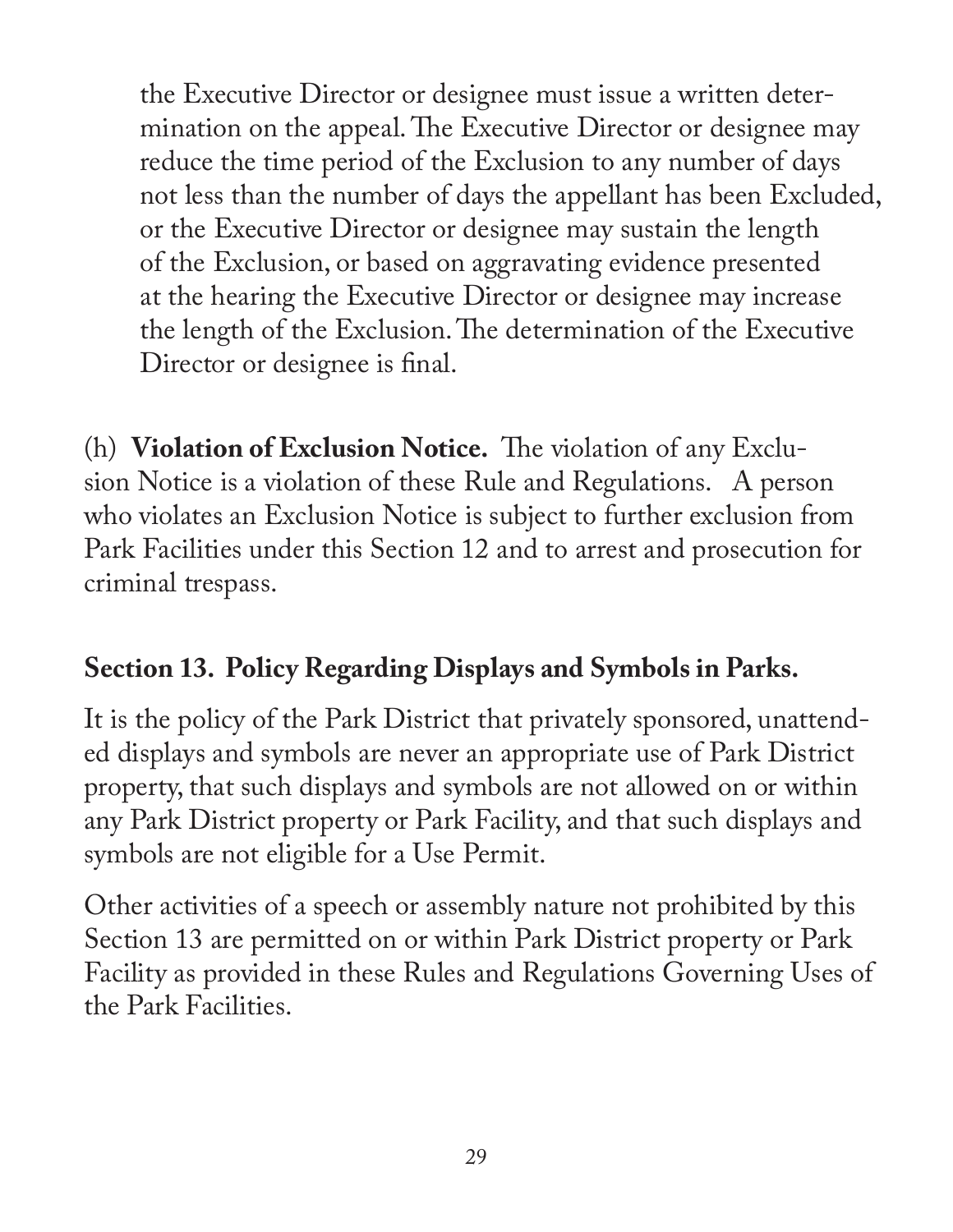the Executive Director or designee must issue a written determination on the appeal. The Executive Director or designee may reduce the time period of the Exclusion to any number of days not less than the number of days the appellant has been Excluded, or the Executive Director or designee may sustain the length of the Exclusion, or based on aggravating evidence presented at the hearing the Executive Director or designee may increase the length of the Exclusion. The determination of the Executive Director or designee is final.

(h) **Violation of Exclusion Notice.** The violation of any Exclusion Notice is a violation of these Rule and Regulations. A person who violates an Exclusion Notice is subject to further exclusion from Park Facilities under this Section 12 and to arrest and prosecution for criminal trespass.

## **Section 13. Policy Regarding Displays and Symbols in Parks.**

It is the policy of the Park District that privately sponsored, unattended displays and symbols are never an appropriate use of Park District property, that such displays and symbols are not allowed on or within any Park District property or Park Facility, and that such displays and symbols are not eligible for a Use Permit.

Other activities of a speech or assembly nature not prohibited by this Section 13 are permitted on or within Park District property or Park Facility as provided in these Rules and Regulations Governing Uses of the Park Facilities.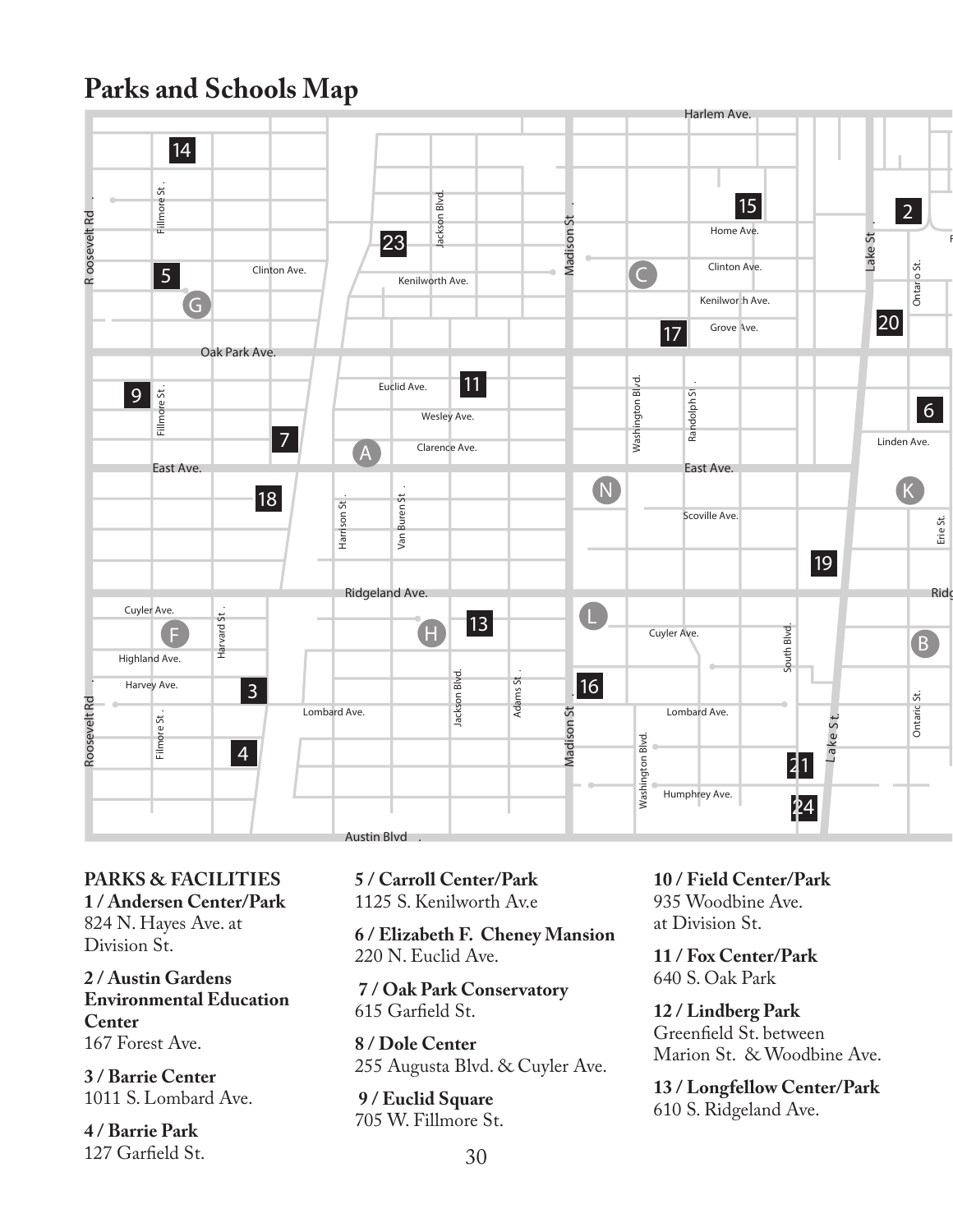#### **Parks and Schools Map**



**PARKS & FACILITIES 1 / Andersen Center/Park** 824 N. Hayes Ave. at Division St.

**2 / Austin Gardens Environmental Education Center** 167 Forest Ave.

**3 / Barrie Center**  1011 S. Lombard Ave.

**4 / Barrie Park** 127 Garfield St. **5 / Carroll Center/Park** 1125 S. Kenilworth Av.e

**6 / Elizabeth F. Cheney Mansion** 220 N. Euclid Ave.

 **7 / Oak Park Conservatory** 615 Garfield St.

**8 / Dole Center** 255 Augusta Blvd. & Cuyler Ave.

 **9 / Euclid Square** 705 W. Fillmore St. **10 / Field Center/Park** 935 Woodbine Ave. at Division St.

**11 / Fox Center/Park** 640 S. Oak Park

**12 / Lindberg Park** Greenfield St. between Marion St. & Woodbine Ave.

**13 / Longfellow Center/Park** 610 S. Ridgeland Ave.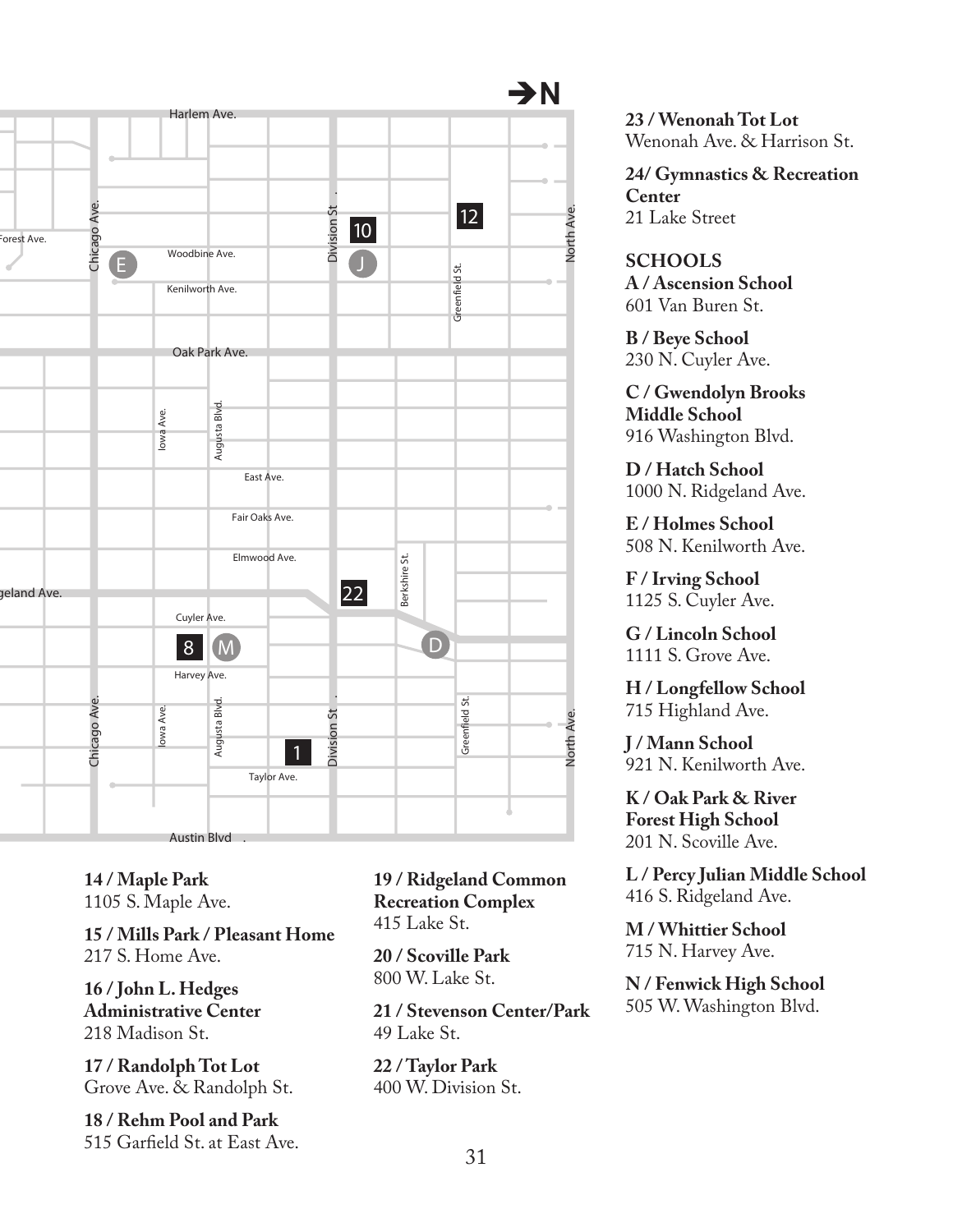

**14 / Maple Park** 1105 S. Maple Ave.

**15 / Mills Park / Pleasant Home** 217 S. Home Ave.

**16 / John L. Hedges Administrative Center** 218 Madison St.

**17 / Randolph Tot Lot** Grove Ave. & Randolph St.

**18 / Rehm Pool and Park** 515 Garfield St. at East Ave. **19 / Ridgeland Common Recreation Complex** 415 Lake St.

**20 / Scoville Park** 800 W. Lake St.

**21 / Stevenson Center/Park**  $49$  Lake St.

**22 / Taylor Park** 400 W. Division St. **23 / Wenonah Tot Lot** Wenonah Ave. & Harrison St.

**24/ Gymnastics & Recreation Center** 21 Lake Street

**SCHOOLS A / Ascension School** 601 Van Buren St.

**B / Beye School** 230 N. Cuyler Ave.

**C / Gwendolyn Brooks Middle School** 916 Washington Blvd.

**D / Hatch School** 1000 N. Ridgeland Ave.

**E / Holmes School** 508 N. Kenilworth Ave.

**F / Irving School** 1125 S. Cuyler Ave.

**G / Lincoln School** 1111 S. Grove Ave.

**H / Longfellow School** 715 Highland Ave.

**J / Mann School** 921 N. Kenilworth Ave.

**K / Oak Park & River Forest High School** 201 N. Scoville Ave.

**L / Percy Julian Middle School** 416 S. Ridgeland Ave.

**M / Whittier School** 715 N. Harvey Ave.

**N / Fenwick High School** 505 W. Washington Blvd.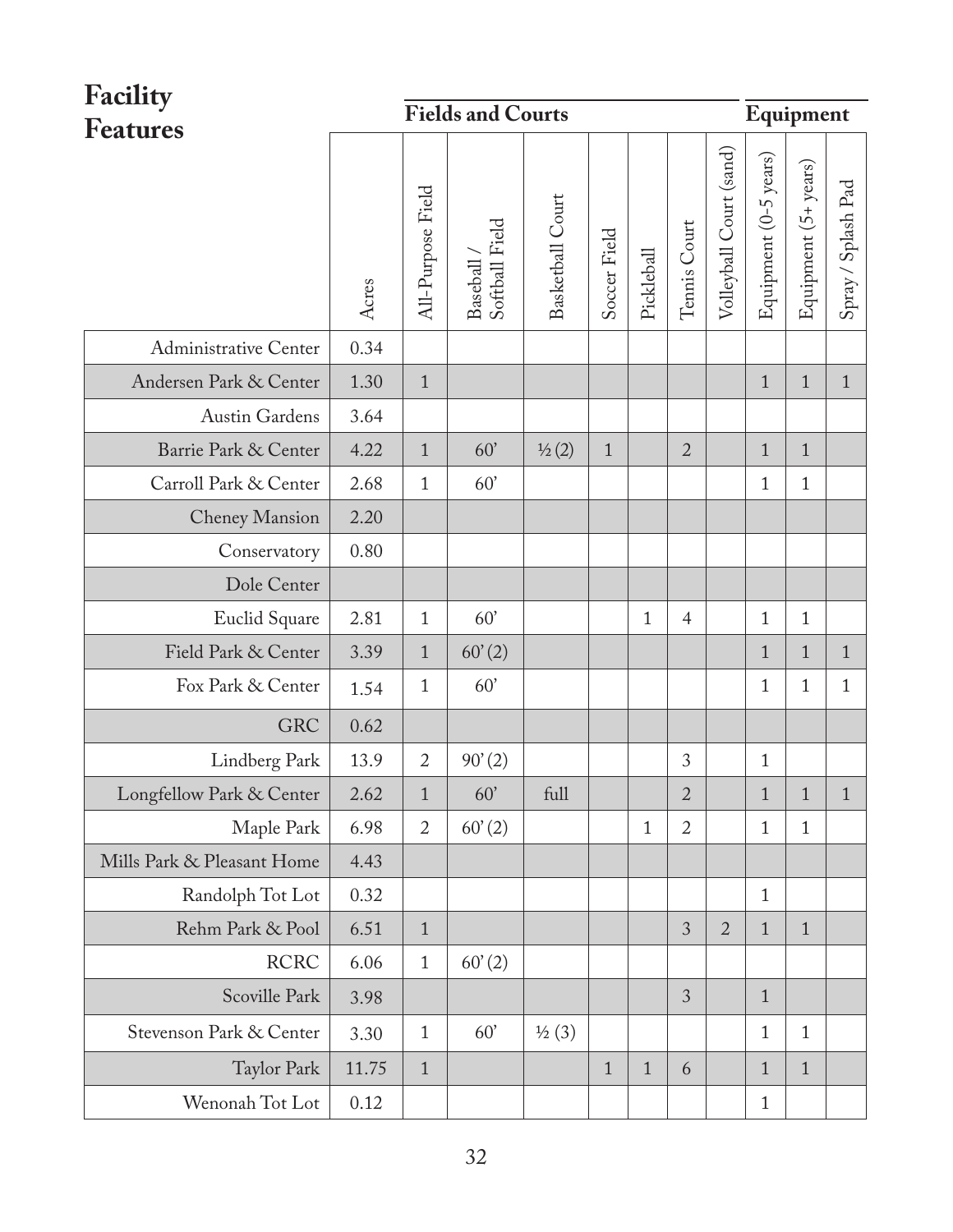| Facility                   |       | <b>Fields and Courts</b> |                                              | Equipment         |              |              |                |                         |                       |                      |                    |
|----------------------------|-------|--------------------------|----------------------------------------------|-------------------|--------------|--------------|----------------|-------------------------|-----------------------|----------------------|--------------------|
| Features                   | Acres | All-Purpose Field        | ${\bf Baseball}\ /\ \\{\bf Softball\ Field}$ | Basketball Court  | Soccer Field | Pickleball   | Tennis Court   | Volleyball Court (sand) | Equipment (0-5 years) | Equipment (5+ years) | Spray / Splash Pad |
| Administrative Center      | 0.34  |                          |                                              |                   |              |              |                |                         |                       |                      |                    |
| Andersen Park & Center     | 1.30  | $\mathbf{1}$             |                                              |                   |              |              |                |                         | $\overline{1}$        | $\mathbf{1}$         | $\mathbf{1}$       |
| Austin Gardens             | 3.64  |                          |                                              |                   |              |              |                |                         |                       |                      |                    |
| Barrie Park & Center       | 4.22  | $1\,$                    | 60'                                          | 1/2(2)            | $\mathbf{1}$ |              | $\overline{2}$ |                         | $\mathbf{1}$          | $\mathbf{1}$         |                    |
| Carroll Park & Center      | 2.68  | 1                        | 60'                                          |                   |              |              |                |                         | 1                     | 1                    |                    |
| Cheney Mansion             | 2.20  |                          |                                              |                   |              |              |                |                         |                       |                      |                    |
| Conservatory               | 0.80  |                          |                                              |                   |              |              |                |                         |                       |                      |                    |
| Dole Center                |       |                          |                                              |                   |              |              |                |                         |                       |                      |                    |
| Euclid Square              | 2.81  | $\mathbf{1}$             | 60'                                          |                   |              | $\mathbf{1}$ | $\overline{4}$ |                         | $\mathbf{1}$          | 1                    |                    |
| Field Park & Center        | 3.39  | $\mathbf{1}$             | 60'(2)                                       |                   |              |              |                |                         | $\mathbf{1}$          | $\mathbf{1}$         | $\mathbf{1}$       |
| Fox Park & Center          | 1.54  | 1                        | 60'                                          |                   |              |              |                |                         | $\mathbf{1}$          | 1                    | $\mathbf{1}$       |
| <b>GRC</b>                 | 0.62  |                          |                                              |                   |              |              |                |                         |                       |                      |                    |
| Lindberg Park              | 13.9  | 2                        | 90'(2)                                       |                   |              |              | 3              |                         | $\mathbf{1}$          |                      |                    |
| Longfellow Park & Center   | 2.62  | $\mathbf{1}$             | 60'                                          | full              |              |              | 2              |                         | $\mathbf{1}$          | $\mathbf{1}$         | $1\,$              |
| Maple Park                 | 6.98  | $\overline{2}$           | 60'(2)                                       |                   |              | 1            | 2              |                         | 1                     | 1                    |                    |
| Mills Park & Pleasant Home | 4.43  |                          |                                              |                   |              |              |                |                         |                       |                      |                    |
| Randolph Tot Lot           | 0.32  |                          |                                              |                   |              |              |                |                         | $\mathbf{1}$          |                      |                    |
| Rehm Park & Pool           | 6.51  | $\mathbf{1}$             |                                              |                   |              |              | 3              | $\overline{2}$          | $\mathbf{1}$          | $\mathbf{1}$         |                    |
| <b>RCRC</b>                | 6.06  | $\mathbf{1}$             | 60'(2)                                       |                   |              |              |                |                         |                       |                      |                    |
| Scoville Park              | 3.98  |                          |                                              |                   |              |              | 3              |                         | $\mathbf{1}$          |                      |                    |
| Stevenson Park & Center    | 3.30  | $\mathbf{1}$             | 60'                                          | $\frac{1}{2}$ (3) |              |              |                |                         | $\mathbf{1}$          | 1                    |                    |
| Taylor Park                | 11.75 | $\mathbf{1}$             |                                              |                   | $\mathbf{1}$ | $\mathbf{1}$ | 6              |                         | $\mathbf{1}$          | $\mathbf{1}$         |                    |
| Wenonah Tot Lot            | 0.12  |                          |                                              |                   |              |              |                |                         | 1                     |                      |                    |

 $\overline{\phantom{0}}$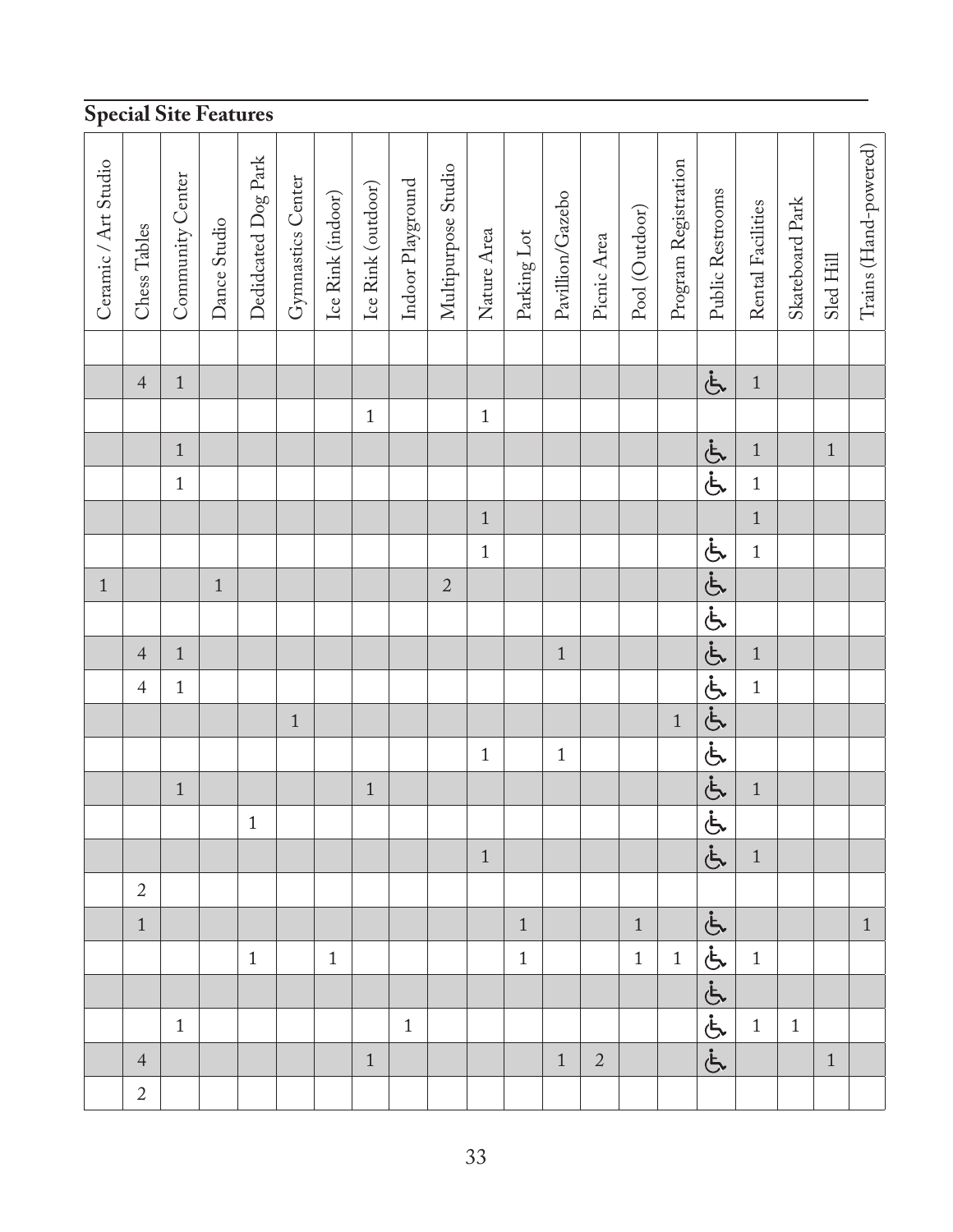| <b>Special Site Features</b> |                |                  |              |                     |                   |                   |                    |                   |                     |             |             |                  |                |                |                      |                  |                   |                 |           |                       |
|------------------------------|----------------|------------------|--------------|---------------------|-------------------|-------------------|--------------------|-------------------|---------------------|-------------|-------------|------------------|----------------|----------------|----------------------|------------------|-------------------|-----------------|-----------|-----------------------|
| Ceramic / Art Studio         | Ches Tables    | Community Center | Dance Studio | Dedidcated Dog Park | Gymnastics Center | Ice Rink (indoor) | Ice Rink (outdoor) | Indoor Playground | Multipurpose Studio | Nature Area | Parking Lot | Pavillion/Gazebo | Picnic Area    | Pool (Outdoor) | Program Registration | Public Restrooms | Rental Facilities | Skateboard Park | Sled Hill | Trains (Hand-powered) |
|                              |                |                  |              |                     |                   |                   |                    |                   |                     |             |             |                  |                |                |                      |                  |                   |                 |           |                       |
|                              | $\overline{4}$ | $1\,$            |              |                     |                   |                   |                    |                   |                     |             |             |                  |                |                |                      | لح               | $1\,$             |                 |           |                       |
|                              |                |                  |              |                     |                   |                   | $\,1\,$            |                   |                     | $\,1\,$     |             |                  |                |                |                      |                  |                   |                 |           |                       |
|                              |                | $\,1\,$          |              |                     |                   |                   |                    |                   |                     |             |             |                  |                |                |                      | أيضية            | $\,1\,$           |                 | $1\,$     |                       |
|                              |                | $\mathbf 1$      |              |                     |                   |                   |                    |                   |                     |             |             |                  |                |                |                      |                  | $\,1\,$           |                 |           |                       |
|                              |                |                  |              |                     |                   |                   |                    |                   |                     | $\,1\,$     |             |                  |                |                |                      |                  | $\,1\,$           |                 |           |                       |
|                              |                |                  |              |                     |                   |                   |                    |                   |                     | $\,1\,$     |             |                  |                |                |                      | - ととととととととと      | $\overline{1}$    |                 |           |                       |
| $\,1\,$                      |                |                  | $\,1\,$      |                     |                   |                   |                    |                   | $\sqrt{2}$          |             |             |                  |                |                |                      |                  |                   |                 |           |                       |
|                              |                |                  |              |                     |                   |                   |                    |                   |                     |             |             |                  |                |                |                      |                  |                   |                 |           |                       |
|                              | $\overline{4}$ | $1\,$            |              |                     |                   |                   |                    |                   |                     |             |             | $\,1\,$          |                |                |                      |                  | $\,1\,$           |                 |           |                       |
|                              | $\overline{4}$ | $\mathbf{1}$     |              |                     |                   |                   |                    |                   |                     |             |             |                  |                |                |                      |                  | $\,1\,$           |                 |           |                       |
|                              |                |                  |              |                     | $\,1\,$           |                   |                    |                   |                     |             |             |                  |                |                | $\,1$                |                  |                   |                 |           |                       |
|                              |                |                  |              |                     |                   |                   |                    |                   |                     | $\,1\,$     |             | $\,1\,$          |                |                |                      |                  |                   |                 |           |                       |
|                              |                | $\,1\,$          |              |                     |                   |                   | $\,1\,$            |                   |                     |             |             |                  |                |                |                      |                  | $\,1\,$           |                 |           |                       |
|                              |                |                  |              | $\,1\,$             |                   |                   |                    |                   |                     |             |             |                  |                |                |                      |                  |                   |                 |           |                       |
|                              |                |                  |              |                     |                   |                   |                    |                   |                     | $\,1\,$     |             |                  |                |                |                      |                  | $\,1\,$           |                 |           |                       |
|                              | $\overline{2}$ |                  |              |                     |                   |                   |                    |                   |                     |             |             |                  |                |                |                      |                  |                   |                 |           |                       |
|                              | $\,1\,$        |                  |              |                     |                   |                   |                    |                   |                     |             | $\,1\,$     |                  |                | $\,1\,$        |                      |                  |                   |                 |           | $1\,$                 |
|                              |                |                  |              | $\,1\,$             |                   | $\,1$             |                    |                   |                     |             | $\,1\,$     |                  |                | $\mathbf 1$    | $\,1\,$              |                  | $\,1\,$           |                 |           |                       |
|                              |                |                  |              |                     |                   |                   |                    |                   |                     |             |             |                  |                |                |                      |                  |                   |                 |           |                       |
|                              |                | $\mathbf{1}$     |              |                     |                   |                   |                    | $\mathbf{1}$      |                     |             |             |                  |                |                |                      | <u>ととととと</u>     | $\,1\,$           | $\,1\,$         |           |                       |
|                              | $\sqrt{4}$     |                  |              |                     |                   |                   | $\,1\,$            |                   |                     |             |             | $\,1\,$          | $\overline{c}$ |                |                      |                  |                   |                 | $\,1\,$   |                       |
|                              | $\overline{c}$ |                  |              |                     |                   |                   |                    |                   |                     |             |             |                  |                |                |                      |                  |                   |                 |           |                       |